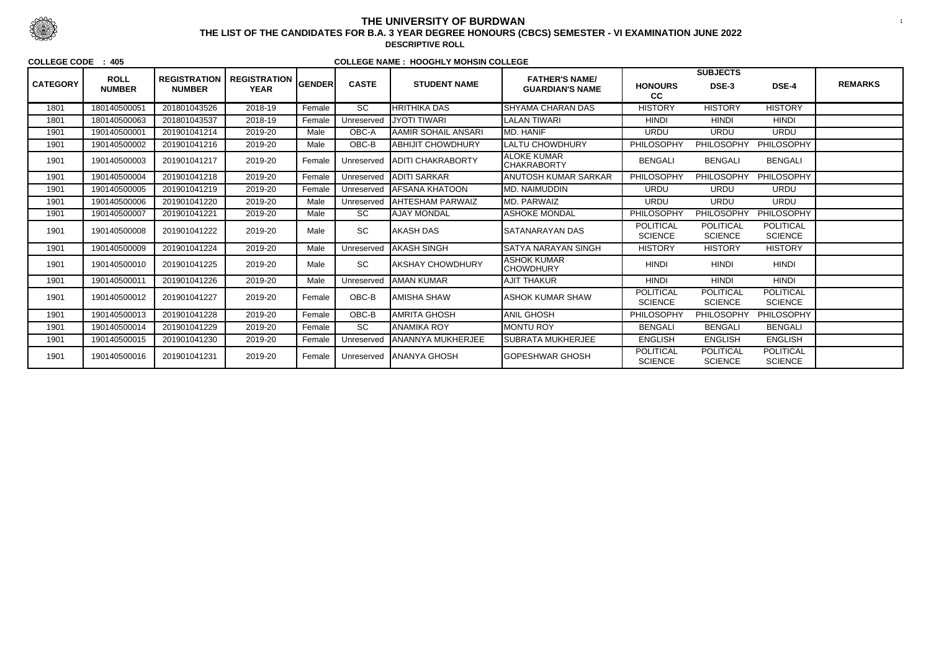|                 |                              |                                      |                                    |               |                 |                           |                                                 |                                    | <b>SUBJECTS</b>                    |                                    |                |
|-----------------|------------------------------|--------------------------------------|------------------------------------|---------------|-----------------|---------------------------|-------------------------------------------------|------------------------------------|------------------------------------|------------------------------------|----------------|
| <b>CATEGORY</b> | <b>ROLL</b><br><b>NUMBER</b> | <b>REGISTRATION</b><br><b>NUMBER</b> | <b>REGISTRATION</b><br><b>YEAR</b> | <b>GENDER</b> | <b>CASTE</b>    | <b>STUDENT NAME</b>       | <b>FATHER'S NAME/</b><br><b>GUARDIAN'S NAME</b> | <b>HONOURS</b><br>cc               | DSE-3                              | DSE-4                              | <b>REMARKS</b> |
| 1801            | 180140500051                 | 201801043526                         | 2018-19                            | Female        | $\overline{SC}$ | <b>HRITHIKA DAS</b>       | <b>SHYAMA CHARAN DAS</b>                        | <b>HISTORY</b>                     | <b>HISTORY</b>                     | <b>HISTORY</b>                     |                |
| 1801            | 180140500063                 | 201801043537                         | 2018-19                            | Female        | Unreserved      | <b>JYOTI TIWARI</b>       | <b>LALAN TIWARI</b>                             | <b>HINDI</b>                       | <b>HINDI</b>                       | <b>HINDI</b>                       |                |
| 1901            | 190140500001                 | 201901041214                         | 2019-20                            | Male          | OBC-A           | AAMIR SOHAIL ANSARI       | MD. HANIF                                       | <b>URDU</b>                        | <b>URDU</b>                        | <b>URDU</b>                        |                |
| 1901            | 190140500002                 | 201901041216                         | 2019-20                            | Male          | OBC-B           | ABHIJIT CHOWDHURY         | <b>LALTU CHOWDHURY</b>                          | PHILOSOPHY                         | <b>PHILOSOPHY</b>                  | PHILOSOPHY                         |                |
| 1901            | 190140500003                 | 201901041217                         | 2019-20                            | Female        | Unreserved      | <b>JADITI CHAKRABORTY</b> | <b>ALOKE KUMAR</b><br><b>CHAKRABORTY</b>        | <b>BENGALI</b>                     | <b>BENGALI</b>                     | <b>BENGALI</b>                     |                |
| 1901            | 190140500004                 | 201901041218                         | 2019-20                            | Female        | Unreserved      | <b>JADITI SARKAR</b>      | <b>ANUTOSH KUMAR SARKAR</b>                     | PHILOSOPHY                         | <b>PHILOSOPHY</b>                  | PHILOSOPHY                         |                |
| 1901            | 190140500005                 | 201901041219                         | 2019-20                            | Female        | Unreserved      | <b>AFSANA KHATOON</b>     | <b>MD. NAIMUDDIN</b>                            | <b>URDU</b>                        | <b>URDU</b>                        | <b>URDU</b>                        |                |
| 1901            | 190140500006                 | 201901041220                         | 2019-20                            | Male          | Unreserved      | <b>AHTESHAM PARWAIZ</b>   | MD. PARWAIZ                                     | <b>URDU</b>                        | <b>URDU</b>                        | <b>URDU</b>                        |                |
| 1901            | 190140500007                 | 201901041221                         | 2019-20                            | Male          | <b>SC</b>       | <b>AJAY MONDAL</b>        | ASHOKE MONDAL                                   | PHILOSOPHY                         | <b>PHILOSOPHY</b>                  | PHILOSOPHY                         |                |
| 1901            | 190140500008                 | 201901041222                         | 2019-20                            | Male          | <b>SC</b>       | <b>JAKASH DAS</b>         | ISATANARAYAN DAS                                | <b>POLITICAL</b><br><b>SCIENCE</b> | <b>POLITICAL</b><br><b>SCIENCE</b> | <b>POLITICAL</b><br><b>SCIENCE</b> |                |
| 1901            | 190140500009                 | 201901041224                         | 2019-20                            | Male          | Unreserved      | <b>JAKASH SINGH</b>       | <b>SATYA NARAYAN SINGH</b>                      | <b>HISTORY</b>                     | <b>HISTORY</b>                     | <b>HISTORY</b>                     |                |
| 1901            | 190140500010                 | 201901041225                         | 2019-20                            | Male          | SC              | <b>IAKSHAY CHOWDHURY</b>  | <b>ASHOK KUMAR</b><br><b>CHOWDHURY</b>          | <b>HINDI</b>                       | <b>HINDI</b>                       | <b>HINDI</b>                       |                |
| 1901            | 190140500011                 | 201901041226                         | 2019-20                            | Male          | Unreserved      | <b>JAMAN KUMAR</b>        | <b>AJIT THAKUR</b>                              | <b>HINDI</b>                       | <b>HINDI</b>                       | <b>HINDI</b>                       |                |
| 1901            | 190140500012                 | 201901041227                         | 2019-20                            | Female        | OBC-B           | AMISHA SHAW               | <b>ASHOK KUMAR SHAW</b>                         | <b>POLITICAL</b><br><b>SCIENCE</b> | <b>POLITICAL</b><br><b>SCIENCE</b> | <b>POLITICAL</b><br><b>SCIENCE</b> |                |
| 1901            | 190140500013                 | 201901041228                         | 2019-20                            | Female        | OBC-B           | AMRITA GHOSH              | <b>ANIL GHOSH</b>                               | PHILOSOPHY                         | PHILOSOPHY                         | PHILOSOPHY                         |                |
| 1901            | 190140500014                 | 201901041229                         | 2019-20                            | Female        | $\overline{SC}$ | ANAMIKA ROY               | <b>MONTU ROY</b>                                | <b>BENGALI</b>                     | <b>BENGALI</b>                     | <b>BENGALI</b>                     |                |
| 1901            | 190140500015                 | 201901041230                         | 2019-20                            | Female        | Unreserved      | <b>JANANNYA MUKHERJEE</b> | <b>SUBRATA MUKHERJEE</b>                        | <b>ENGLISH</b>                     | <b>ENGLISH</b>                     | <b>ENGLISH</b>                     |                |
| 1901            | 190140500016                 | 201901041231                         | 2019-20                            | Female        | Unreserved      | <b>JANANYA GHOSH</b>      | <b>I</b> GOPESHWAR GHOSH                        | <b>POLITICAL</b><br><b>SCIENCE</b> | <b>POLITICAL</b><br><b>SCIENCE</b> | <b>POLITICAL</b><br><b>SCIENCE</b> |                |



## **THE UNIVERSITY OF BURDWAN**<sup>1</sup> **THE LIST OF THE CANDIDATES FOR B.A. 3 YEAR DEGREE HONOURS (CBCS) SEMESTER - VI EXAMINATION JUNE 2022**

**DESCRIPTIVE ROLL**

#### **COLLEGE CODE : 405**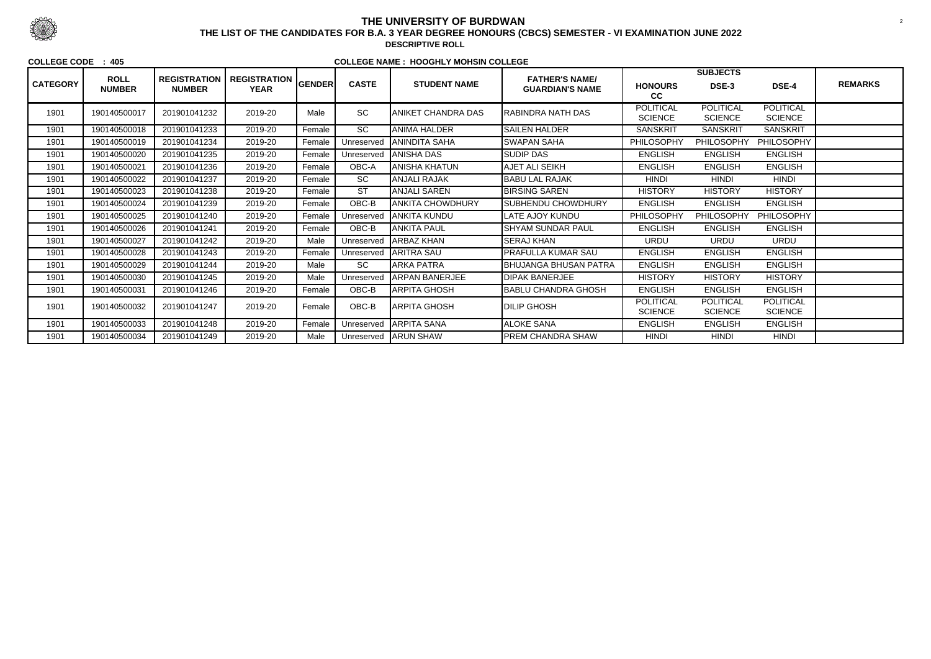|                 |                              |                                      |                                    |        |              |                           |                                                 |                                    | <b>SUBJECTS</b>                    |                                    |                |
|-----------------|------------------------------|--------------------------------------|------------------------------------|--------|--------------|---------------------------|-------------------------------------------------|------------------------------------|------------------------------------|------------------------------------|----------------|
| <b>CATEGORY</b> | <b>ROLL</b><br><b>NUMBER</b> | <b>REGISTRATION</b><br><b>NUMBER</b> | REGISTRATION GENDER<br><b>YEAR</b> |        | <b>CASTE</b> | <b>STUDENT NAME</b>       | <b>FATHER'S NAME/</b><br><b>GUARDIAN'S NAME</b> | <b>HONOURS</b><br>cc               | DSE-3                              | DSE-4                              | <b>REMARKS</b> |
| 1901            | 190140500017                 | 201901041232                         | 2019-20                            | Male   | <b>SC</b>    | <b>ANIKET CHANDRA DAS</b> | <b>RABINDRA NATH DAS</b>                        | <b>POLITICAL</b><br><b>SCIENCE</b> | <b>POLITICAL</b><br><b>SCIENCE</b> | <b>POLITICAL</b><br><b>SCIENCE</b> |                |
| 1901            | 190140500018                 | 201901041233                         | 2019-20                            | Female | <b>SC</b>    | <b>ANIMA HALDER</b>       | <b>SAILEN HALDER</b>                            | <b>SANSKRIT</b>                    | <b>SANSKRIT</b>                    | <b>SANSKRIT</b>                    |                |
| 1901            | 190140500019                 | 201901041234                         | 2019-20                            | Female | Unreservec   | <b>ANINDITA SAHA</b>      | <b>SWAPAN SAHA</b>                              | PHILOSOPHY                         | <b>PHILOSOPHY</b>                  | PHILOSOPHY                         |                |
| 1901            | 190140500020                 | 201901041235                         | 2019-20                            | Female | Unreserved   | <b>ANISHA DAS</b>         | <b>SUDIP DAS</b>                                | <b>ENGLISH</b>                     | <b>ENGLISH</b>                     | <b>ENGLISH</b>                     |                |
| 1901            | 190140500021                 | 201901041236                         | 2019-20                            | Female | OBC-A        | <b>ANISHA KHATUN</b>      | AJET ALI SEIKH                                  | <b>ENGLISH</b>                     | <b>ENGLISH</b>                     | <b>ENGLISH</b>                     |                |
| 1901            | 190140500022                 | 201901041237                         | 2019-20                            | Female | <b>SC</b>    | ANJALI RAJAK              | <b>BABU LAL RAJAK</b>                           | <b>HINDI</b>                       | <b>HINDI</b>                       | <b>HINDI</b>                       |                |
| 1901            | 190140500023                 | 201901041238                         | 2019-20                            | Female | <b>ST</b>    | <b>ANJALI SAREN</b>       | <b>BIRSING SAREN</b>                            | <b>HISTORY</b>                     | <b>HISTORY</b>                     | <b>HISTORY</b>                     |                |
| 1901            | 190140500024                 | 201901041239                         | 2019-20                            | Female | OBC-B        | <b>ANKITA CHOWDHURY</b>   | <b>SUBHENDU CHOWDHURY</b>                       | <b>ENGLISH</b>                     | <b>ENGLISH</b>                     | <b>ENGLISH</b>                     |                |
| 1901            | 190140500025                 | 201901041240                         | 2019-20                            | Female | Unreserved   | <b>ANKITA KUNDU</b>       | LATE AJOY KUNDU                                 | PHILOSOPHY                         | <b>PHILOSOPHY</b>                  | PHILOSOPHY                         |                |
| 1901            | 190140500026                 | 201901041241                         | 2019-20                            | Female | OBC-B        | IANKITA PAUL              | <b>SHYAM SUNDAR PAUL</b>                        | <b>ENGLISH</b>                     | <b>ENGLISH</b>                     | <b>ENGLISH</b>                     |                |
| 1901            | 190140500027                 | 201901041242                         | 2019-20                            | Male   | Unreserved   | ARBAZ KHAN                | <b>SERAJ KHAN</b>                               | <b>URDU</b>                        | <b>URDU</b>                        | <b>URDU</b>                        |                |
| 1901            | 190140500028                 | 201901041243                         | 2019-20                            | Female | Unreserved   | ARITRA SAU                | <b>PRAFULLA KUMAR SAU</b>                       | <b>ENGLISH</b>                     | <b>ENGLISH</b>                     | <b>ENGLISH</b>                     |                |
| 1901            | 190140500029                 | 201901041244                         | 2019-20                            | Male   | <b>SC</b>    | ARKA PATRA                | <b>BHUJANGA BHUSAN PATRA</b>                    | <b>ENGLISH</b>                     | <b>ENGLISH</b>                     | <b>ENGLISH</b>                     |                |
| 1901            | 190140500030                 | 201901041245                         | 2019-20                            | Male   | Unreserved   | <b>ARPAN BANERJEE</b>     | <b>DIPAK BANERJEE</b>                           | <b>HISTORY</b>                     | <b>HISTORY</b>                     | <b>HISTORY</b>                     |                |
| 1901            | 190140500031                 | 201901041246                         | 2019-20                            | Female | OBC-B        | <b>ARPITA GHOSH</b>       | <b>BABLU CHANDRA GHOSH</b>                      | <b>ENGLISH</b>                     | <b>ENGLISH</b>                     | <b>ENGLISH</b>                     |                |
| 1901            | 190140500032                 | 201901041247                         | 2019-20                            | Female | OBC-B        | <b>ARPITA GHOSH</b>       | <b>DILIP GHOSH</b>                              | <b>POLITICAL</b><br><b>SCIENCE</b> | <b>POLITICAL</b><br><b>SCIENCE</b> | <b>POLITICAL</b><br><b>SCIENCE</b> |                |
| 1901            | 190140500033                 | 201901041248                         | 2019-20                            | Female | Unreserved   | ARPITA SANA               | <b>ALOKE SANA</b>                               | <b>ENGLISH</b>                     | <b>ENGLISH</b>                     | <b>ENGLISH</b>                     |                |
| 1901            | 190140500034                 | 201901041249                         | 2019-20                            | Male   | Unreserved   | <b>ARUN SHAW</b>          | <b>PREM CHANDRA SHAW</b>                        | <b>HINDI</b>                       | <b>HINDI</b>                       | <b>HINDI</b>                       |                |



## **THE UNIVERSITY OF BURDWAN**<sup>2</sup> **THE LIST OF THE CANDIDATES FOR B.A. 3 YEAR DEGREE HONOURS (CBCS) SEMESTER - VI EXAMINATION JUNE 2022**

**DESCRIPTIVE ROLL**

#### **COLLEGE CODE : 405**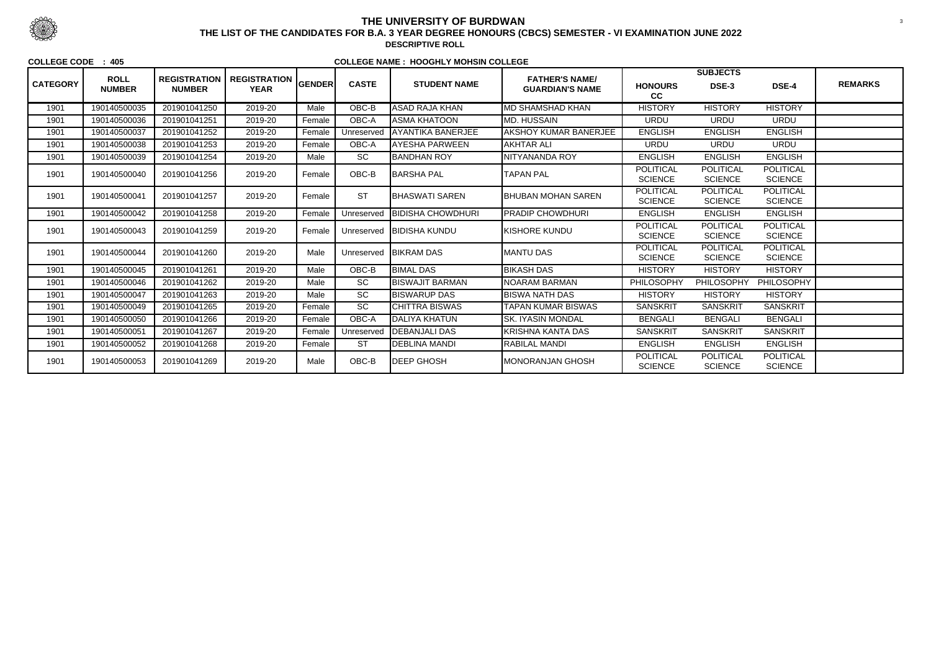|                 | <b>ROLL</b>   | <b>REGISTRATION</b> |                                    |               |              |                          | <b>FATHER'S NAME/</b>        |                                    | <b>SUBJECTS</b>                    |                                    |                |
|-----------------|---------------|---------------------|------------------------------------|---------------|--------------|--------------------------|------------------------------|------------------------------------|------------------------------------|------------------------------------|----------------|
| <b>CATEGORY</b> | <b>NUMBER</b> | <b>NUMBER</b>       | <b>REGISTRATION</b><br><b>YEAR</b> | <b>GENDER</b> | <b>CASTE</b> | <b>STUDENT NAME</b>      | <b>GUARDIAN'S NAME</b>       | <b>HONOURS</b><br>cc               | DSE-3                              | DSE-4                              | <b>REMARKS</b> |
| 1901            | 190140500035  | 201901041250        | 2019-20                            | Male          | OBC-B        | <b>ASAD RAJA KHAN</b>    | <b>MD SHAMSHAD KHAN</b>      | <b>HISTORY</b>                     | <b>HISTORY</b>                     | <b>HISTORY</b>                     |                |
| 1901            | 190140500036  | 201901041251        | 2019-20                            | Female        | OBC-A        | <b>ASMA KHATOON</b>      | <b>MD. HUSSAIN</b>           | <b>URDU</b>                        | <b>URDU</b>                        | <b>URDU</b>                        |                |
| 1901            | 190140500037  | 201901041252        | 2019-20                            | Female        | Unreserved   | AYANTIKA BANERJEE        | <b>AKSHOY KUMAR BANERJEE</b> | <b>ENGLISH</b>                     | <b>ENGLISH</b>                     | <b>ENGLISH</b>                     |                |
| 1901            | 190140500038  | 201901041253        | 2019-20                            | Female        | OBC-A        | <b>AYESHA PARWEEN</b>    | <b>AKHTAR ALI</b>            | <b>URDU</b>                        | <b>URDU</b>                        | <b>URDU</b>                        |                |
| 1901            | 190140500039  | 201901041254        | 2019-20                            | Male          | <b>SC</b>    | <b>BANDHAN ROY</b>       | NITYANANDA ROY               | <b>ENGLISH</b>                     | <b>ENGLISH</b>                     | <b>ENGLISH</b>                     |                |
| 1901            | 190140500040  | 201901041256        | 2019-20                            | Female        | OBC-B        | <b>BARSHA PAL</b>        | <b>TAPAN PAL</b>             | <b>POLITICAL</b><br><b>SCIENCE</b> | <b>POLITICAL</b><br><b>SCIENCE</b> | <b>POLITICAL</b><br><b>SCIENCE</b> |                |
| 1901            | 190140500041  | 201901041257        | 2019-20                            | Female        | <b>ST</b>    | <b>IBHASWATI SAREN</b>   | <b>BHUBAN MOHAN SAREN</b>    | <b>POLITICAL</b><br><b>SCIENCE</b> | <b>POLITICAL</b><br><b>SCIENCE</b> | <b>POLITICAL</b><br><b>SCIENCE</b> |                |
| 1901            | 190140500042  | 201901041258        | 2019-20                            | Female        | Unreserved   | <b>BIDISHA CHOWDHURI</b> | <b>PRADIP CHOWDHURI</b>      | <b>ENGLISH</b>                     | <b>ENGLISH</b>                     | <b>ENGLISH</b>                     |                |
| 1901            | 190140500043  | 201901041259        | 2019-20                            | Female        | Unreserved   | <b>IBIDISHA KUNDU</b>    | <b>KISHORE KUNDU</b>         | <b>POLITICAL</b><br><b>SCIENCE</b> | <b>POLITICAL</b><br><b>SCIENCE</b> | <b>POLITICAL</b><br><b>SCIENCE</b> |                |
| 1901            | 190140500044  | 201901041260        | 2019-20                            | Male          | Unreserved   | <b>BIKRAM DAS</b>        | <b>MANTU DAS</b>             | <b>POLITICAL</b><br><b>SCIENCE</b> | <b>POLITICAL</b><br><b>SCIENCE</b> | <b>POLITICAL</b><br><b>SCIENCE</b> |                |
| 1901            | 190140500045  | 201901041261        | 2019-20                            | Male          | OBC-B        | <b>BIMAL DAS</b>         | <b>BIKASH DAS</b>            | <b>HISTORY</b>                     | <b>HISTORY</b>                     | <b>HISTORY</b>                     |                |
| 1901            | 190140500046  | 201901041262        | 2019-20                            | Male          | <b>SC</b>    | <b>BISWAJIT BARMAN</b>   | <b>NOARAM BARMAN</b>         | PHILOSOPHY                         | <b>PHILOSOPHY</b>                  | <b>PHILOSOPHY</b>                  |                |
| 1901            | 190140500047  | 201901041263        | 2019-20                            | Male          | <b>SC</b>    | <b>BISWARUP DAS</b>      | <b>BISWA NATH DAS</b>        | <b>HISTORY</b>                     | <b>HISTORY</b>                     | <b>HISTORY</b>                     |                |
| 1901            | 190140500049  | 201901041265        | 2019-20                            | Female        | <b>SC</b>    | <b>CHITTRA BISWAS</b>    | <b>TAPAN KUMAR BISWAS</b>    | <b>SANSKRIT</b>                    | <b>SANSKRIT</b>                    | <b>SANSKRIT</b>                    |                |
| 1901            | 190140500050  | 201901041266        | 2019-20                            | Female        | OBC-A        | <b>DALIYA KHATUN</b>     | <b>SK. IYASIN MONDAL</b>     | <b>BENGALI</b>                     | <b>BENGALI</b>                     | <b>BENGALI</b>                     |                |
| 1901            | 190140500051  | 201901041267        | 2019-20                            | Female        | Unreserved   | <b>IDEBANJALI DAS</b>    | <b>KRISHNA KANTA DAS</b>     | <b>SANSKRIT</b>                    | <b>SANSKRIT</b>                    | <b>SANSKRIT</b>                    |                |
| 1901            | 190140500052  | 201901041268        | 2019-20                            | Female        | <b>ST</b>    | <b>DEBLINA MANDI</b>     | <b>RABILAL MANDI</b>         | <b>ENGLISH</b>                     | <b>ENGLISH</b>                     | <b>ENGLISH</b>                     |                |
| 1901            | 190140500053  | 201901041269        | 2019-20                            | Male          | OBC-B        | <b>IDEEP GHOSH</b>       | <b>MONORANJAN GHOSH</b>      | <b>POLITICAL</b><br><b>SCIENCE</b> | <b>POLITICAL</b><br><b>SCIENCE</b> | <b>POLITICAL</b><br><b>SCIENCE</b> |                |



## **THE UNIVERSITY OF BURDWAN**<sup>3</sup> **THE LIST OF THE CANDIDATES FOR B.A. 3 YEAR DEGREE HONOURS (CBCS) SEMESTER - VI EXAMINATION JUNE 2022**

**DESCRIPTIVE ROLL**

#### **COLLEGE CODE : 405**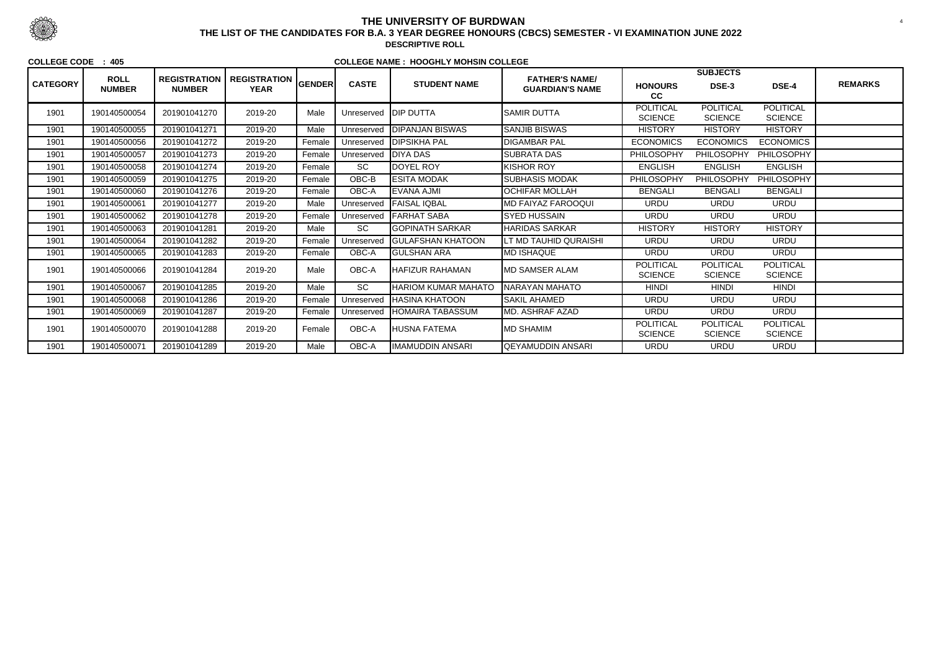|                 | <b>ROLL</b>   | <b>REGISTRATION</b> | <b>REGISTRATION</b> |        |              |                            | <b>FATHER'S NAME/</b>      |                                    | <b>SUBJECTS</b>                    |                                    |                |
|-----------------|---------------|---------------------|---------------------|--------|--------------|----------------------------|----------------------------|------------------------------------|------------------------------------|------------------------------------|----------------|
| <b>CATEGORY</b> | <b>NUMBER</b> | <b>NUMBER</b>       | <b>YEAR</b>         | GENDER | <b>CASTE</b> | <b>STUDENT NAME</b>        | <b>GUARDIAN'S NAME</b>     | <b>HONOURS</b><br>cc               | DSE-3                              | DSE-4                              | <b>REMARKS</b> |
| 1901            | 190140500054  | 201901041270        | 2019-20             | Male   | Unreserved   | <b>IDIP DUTTA</b>          | ISAMIR DUTTA               | <b>POLITICAL</b><br><b>SCIENCE</b> | <b>POLITICAL</b><br><b>SCIENCE</b> | <b>POLITICAL</b><br><b>SCIENCE</b> |                |
| 1901            | 190140500055  | 201901041271        | 2019-20             | Male   | Unreserved   | <b>DIPANJAN BISWAS</b>     | <b>SANJIB BISWAS</b>       | <b>HISTORY</b>                     | <b>HISTORY</b>                     | <b>HISTORY</b>                     |                |
| 1901            | 190140500056  | 201901041272        | 2019-20             | Female | Unreserved   | <b>DIPSIKHA PAL</b>        | <b>DIGAMBAR PAL</b>        | <b>ECONOMICS</b>                   | <b>ECONOMICS</b>                   | <b>ECONOMICS</b>                   |                |
| 1901            | 190140500057  | 201901041273        | 2019-20             | Female | Unreserved   | <b>DIYA DAS</b>            | <b>SUBRATA DAS</b>         | PHILOSOPHY                         | <b>PHILOSOPHY</b>                  | PHILOSOPHY                         |                |
| 1901            | 190140500058  | 201901041274        | 2019-20             | Female | <b>SC</b>    | DOYEL ROY                  | KISHOR ROY                 | <b>ENGLISH</b>                     | <b>ENGLISH</b>                     | <b>ENGLISH</b>                     |                |
| 1901            | 190140500059  | 201901041275        | 2019-20             | Female | OBC-B        | <b>ESITA MODAK</b>         | <b>SUBHASIS MODAK</b>      | PHILOSOPHY                         | <b>PHILOSOPHY</b>                  | PHILOSOPHY                         |                |
| 1901            | 190140500060  | 201901041276        | 2019-20             | Female | OBC-A        | EVANA AJMI                 | OCHIFAR MOLLAH             | <b>BENGALI</b>                     | <b>BENGALI</b>                     | <b>BENGALI</b>                     |                |
| 1901            | 190140500061  | 201901041277        | 2019-20             | Male   | Unreserved   | <b>FAISAL IQBAL</b>        | <b>IMD FAIYAZ FAROOQUI</b> | <b>URDU</b>                        | <b>URDU</b>                        | <b>URDU</b>                        |                |
| 1901            | 190140500062  | 201901041278        | 2019-20             | Female | Unreserved   | <b>FARHAT SABA</b>         | <b>SYED HUSSAIN</b>        | <b>URDU</b>                        | <b>URDU</b>                        | <b>URDU</b>                        |                |
| 1901            | 190140500063  | 201901041281        | 2019-20             | Male   | <b>SC</b>    | <b>GOPINATH SARKAR</b>     | <b>HARIDAS SARKAR</b>      | <b>HISTORY</b>                     | <b>HISTORY</b>                     | <b>HISTORY</b>                     |                |
| 1901            | 190140500064  | 201901041282        | 2019-20             | Female | Unreserved   | <b>GULAFSHAN KHATOON</b>   | LT MD TAUHID QURAISHI      | <b>URDU</b>                        | <b>URDU</b>                        | <b>URDU</b>                        |                |
| 1901            | 190140500065  | 201901041283        | 2019-20             | Female | OBC-A        | <b>GULSHAN ARA</b>         | <b>MD ISHAQUE</b>          | <b>URDU</b>                        | <b>URDU</b>                        | <b>URDU</b>                        |                |
| 1901            | 190140500066  | 201901041284        | 2019-20             | Male   | OBC-A        | <b>HAFIZUR RAHAMAN</b>     | <b>IMD SAMSER ALAM</b>     | <b>POLITICAL</b><br><b>SCIENCE</b> | <b>POLITICAL</b><br><b>SCIENCE</b> | <b>POLITICAL</b><br><b>SCIENCE</b> |                |
| 1901            | 190140500067  | 201901041285        | 2019-20             | Male   | <b>SC</b>    | <b>HARIOM KUMAR MAHATO</b> | NARAYAN MAHATO             | <b>HINDI</b>                       | <b>HINDI</b>                       | <b>HINDI</b>                       |                |
| 1901            | 190140500068  | 201901041286        | 2019-20             | Female | Unreserved   | <b>IHASINA KHATOON</b>     | <b>ISAKIL AHAMED</b>       | <b>URDU</b>                        | <b>URDU</b>                        | <b>URDU</b>                        |                |
| 1901            | 190140500069  | 201901041287        | 2019-20             | Female | Unreserved   | <b>HOMAIRA TABASSUM</b>    | MD. ASHRAF AZAD            | <b>URDU</b>                        | <b>URDU</b>                        | <b>URDU</b>                        |                |
| 1901            | 190140500070  | 201901041288        | 2019-20             | Female | OBC-A        | HUSNA FATEMA               | IMD SHAMIM                 | <b>POLITICAL</b><br><b>SCIENCE</b> | <b>POLITICAL</b><br><b>SCIENCE</b> | <b>POLITICAL</b><br><b>SCIENCE</b> |                |
| 1901            | 190140500071  | 201901041289        | 2019-20             | Male   | OBC-A        | IMAMUDDIN ANSARI           | QEYAMUDDIN ANSARI          | <b>URDU</b>                        | <b>URDU</b>                        | <b>URDU</b>                        |                |



## **THE UNIVERSITY OF BURDWAN**

 <sup>4</sup> **THE LIST OF THE CANDIDATES FOR B.A. 3 YEAR DEGREE HONOURS (CBCS) SEMESTER - VI EXAMINATION JUNE 2022DESCRIPTIVE ROLL**

**COLLEGE CODE : 405**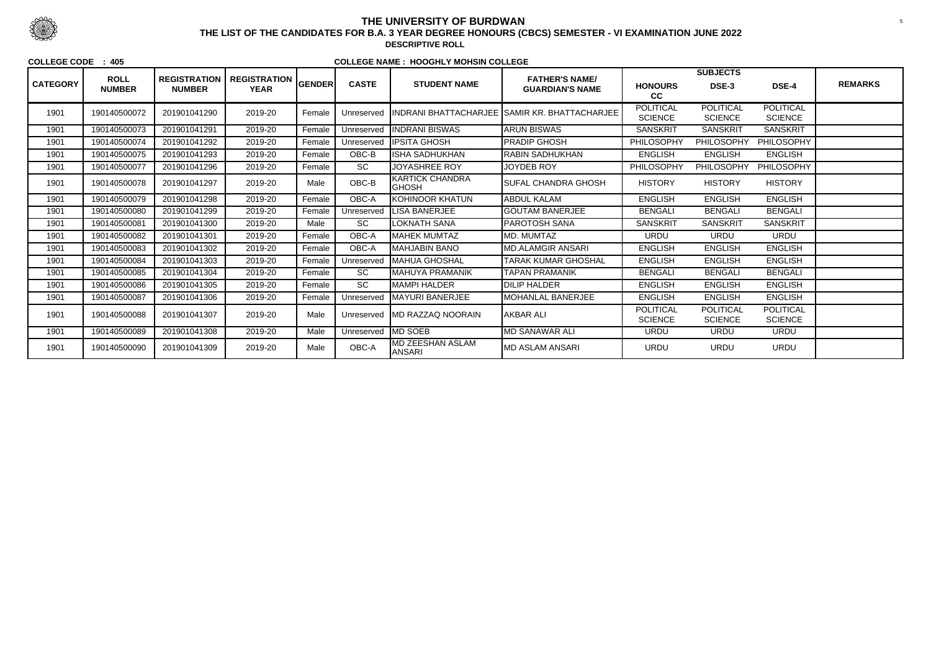|                 |                              |                                      |                                    |        |              |                                         |                                                 |                                    | <b>SUBJECTS</b>                    |                                    |                |
|-----------------|------------------------------|--------------------------------------|------------------------------------|--------|--------------|-----------------------------------------|-------------------------------------------------|------------------------------------|------------------------------------|------------------------------------|----------------|
| <b>CATEGORY</b> | <b>ROLL</b><br><b>NUMBER</b> | <b>REGISTRATION</b><br><b>NUMBER</b> | <b>REGISTRATION</b><br><b>YEAR</b> | GENDER | <b>CASTE</b> | <b>STUDENT NAME</b>                     | <b>FATHER'S NAME/</b><br><b>GUARDIAN'S NAME</b> | <b>HONOURS</b><br>cc               | DSE-3                              | DSE-4                              | <b>REMARKS</b> |
| 1901            | 190140500072                 | 201901041290                         | 2019-20                            | Female | Unreserved   |                                         | INDRANI BHATTACHARJEE SAMIR KR. BHATTACHARJEE   | <b>POLITICAL</b><br><b>SCIENCE</b> | <b>POLITICAL</b><br><b>SCIENCE</b> | <b>POLITICAL</b><br><b>SCIENCE</b> |                |
| 1901            | 190140500073                 | 201901041291                         | 2019-20                            | Female | Unreserved   | <b>INDRANI BISWAS</b>                   | <b>ARUN BISWAS</b>                              | <b>SANSKRIT</b>                    | <b>SANSKRIT</b>                    | <b>SANSKRIT</b>                    |                |
| 1901            | 190140500074                 | 201901041292                         | 2019-20                            | Female | Unreserved   | <b>IPSITA GHOSH</b>                     | <b>PRADIP GHOSH</b>                             | PHILOSOPHY                         | PHILOSOPHY                         | PHILOSOPHY                         |                |
| 1901            | 190140500075                 | 201901041293                         | 2019-20                            | Female | OBC-B        | <b>ISHA SADHUKHAN</b>                   | <b>RABIN SADHUKHAN</b>                          | <b>ENGLISH</b>                     | <b>ENGLISH</b>                     | <b>ENGLISH</b>                     |                |
| 1901            | 190140500077                 | 201901041296                         | 2019-20                            | Female | <b>SC</b>    | <b>JOYASHREE ROY</b>                    | <b>JOYDEB ROY</b>                               | PHILOSOPHY                         | <b>PHILOSOPHY</b>                  | PHILOSOPHY                         |                |
| 1901            | 190140500078                 | 201901041297                         | 2019-20                            | Male   | OBC-B        | <b>KARTICK CHANDRA</b><br><b>IGHOSH</b> | <b>SUFAL CHANDRA GHOSH</b>                      | <b>HISTORY</b>                     | <b>HISTORY</b>                     | <b>HISTORY</b>                     |                |
| 1901            | 190140500079                 | 201901041298                         | 2019-20                            | Female | OBC-A        | <b>IKOHINOOR KHATUN</b>                 | <b>ABDUL KALAM</b>                              | <b>ENGLISH</b>                     | <b>ENGLISH</b>                     | <b>ENGLISH</b>                     |                |
| 1901            | 190140500080                 | 201901041299                         | 2019-20                            | Female | Unreserved   | <b>LISA BANERJEE</b>                    | <b>GOUTAM BANERJEE</b>                          | <b>BENGALI</b>                     | <b>BENGALI</b>                     | <b>BENGALI</b>                     |                |
| 1901            | 190140500081                 | 201901041300                         | 2019-20                            | Male   | <b>SC</b>    | LOKNATH SANA                            | <b>PAROTOSH SANA</b>                            | <b>SANSKRIT</b>                    | <b>SANSKRIT</b>                    | <b>SANSKRIT</b>                    |                |
| 1901            | 190140500082                 | 201901041301                         | 2019-20                            | Female | OBC-A        | <b>MAHEK MUMTAZ</b>                     | MD. MUMTAZ                                      | <b>URDU</b>                        | <b>URDU</b>                        | <b>URDU</b>                        |                |
| 1901            | 190140500083                 | 201901041302                         | 2019-20                            | Female | OBC-A        | <b>MAHJABIN BANO</b>                    | <b>MD.ALAMGIR ANSARI</b>                        | <b>ENGLISH</b>                     | <b>ENGLISH</b>                     | <b>ENGLISH</b>                     |                |
| 1901            | 190140500084                 | 201901041303                         | 2019-20                            | Female | Unreserved   | <b>IMAHUA GHOSHAL</b>                   | <b>TARAK KUMAR GHOSHAL</b>                      | <b>ENGLISH</b>                     | <b>ENGLISH</b>                     | <b>ENGLISH</b>                     |                |
| 1901            | 190140500085                 | 201901041304                         | 2019-20                            | Female | <b>SC</b>    | MAHUYA PRAMANIK                         | <b>TAPAN PRAMANIK</b>                           | <b>BENGALI</b>                     | <b>BENGALI</b>                     | <b>BENGALI</b>                     |                |
| 1901            | 190140500086                 | 201901041305                         | 2019-20                            | Female | <b>SC</b>    | MAMPI HALDER                            | <b>DILIP HALDER</b>                             | <b>ENGLISH</b>                     | <b>ENGLISH</b>                     | <b>ENGLISH</b>                     |                |
| 1901            | 190140500087                 | 201901041306                         | 2019-20                            | Female | Unreserved   | <b>IMAYURI BANERJEE</b>                 | <b>MOHANLAL BANERJEE</b>                        | <b>ENGLISH</b>                     | <b>ENGLISH</b>                     | <b>ENGLISH</b>                     |                |
| 1901            | 190140500088                 | 201901041307                         | 2019-20                            | Male   | Unreserved   | IMD RAZZAQ NOORAIN                      | <b>AKBAR ALI</b>                                | <b>POLITICAL</b><br><b>SCIENCE</b> | <b>POLITICAL</b><br><b>SCIENCE</b> | <b>POLITICAL</b><br><b>SCIENCE</b> |                |
| 1901            | 190140500089                 | 201901041308                         | 2019-20                            | Male   | Unreserved   | <b>IMD SOEB</b>                         | <b>MD SANAWAR ALI</b>                           | <b>URDU</b>                        | <b>URDU</b>                        | <b>URDU</b>                        |                |
| 1901            | 190140500090                 | 201901041309                         | 2019-20                            | Male   | OBC-A        | <b>MD ZEESHAN ASLAM</b><br>ANSARI       | <b>MD ASLAM ANSARI</b>                          | <b>URDU</b>                        | <b>URDU</b>                        | <b>URDU</b>                        |                |



# **THE UNIVERSITY OF BURDWAN**

 <sup>5</sup> **THE LIST OF THE CANDIDATES FOR B.A. 3 YEAR DEGREE HONOURS (CBCS) SEMESTER - VI EXAMINATION JUNE 2022DESCRIPTIVE ROLL**

**COLLEGE CODE : 405**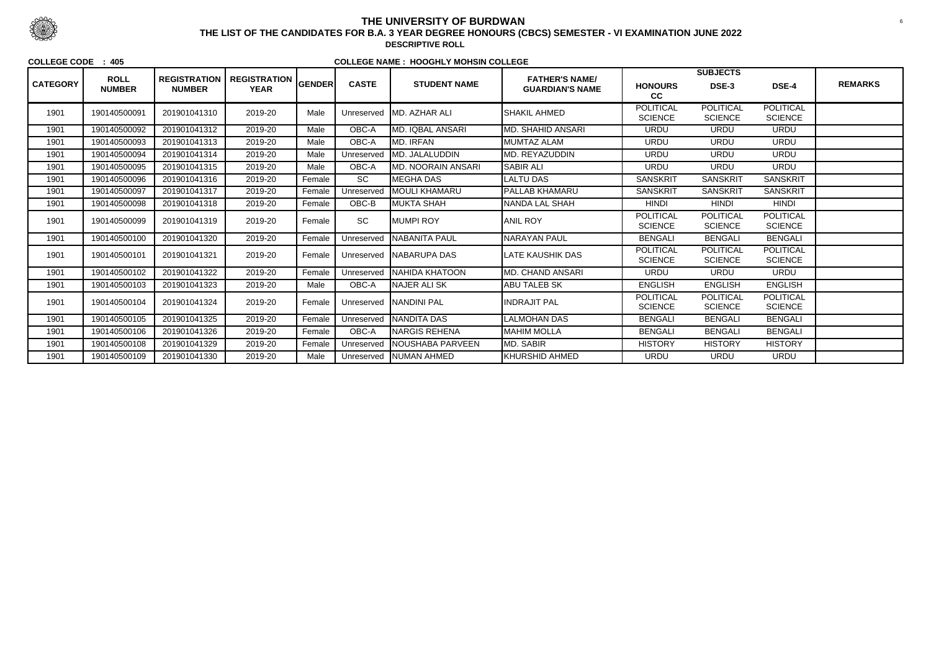|                 | <b>ROLL</b>   |                                      |                                    |               |              |                            | <b>FATHER'S NAME/</b>  |                                    | <b>SUBJECTS</b>                    |                                    |                |
|-----------------|---------------|--------------------------------------|------------------------------------|---------------|--------------|----------------------------|------------------------|------------------------------------|------------------------------------|------------------------------------|----------------|
| <b>CATEGORY</b> | <b>NUMBER</b> | <b>REGISTRATION</b><br><b>NUMBER</b> | <b>REGISTRATION</b><br><b>YEAR</b> | <b>GENDER</b> | <b>CASTE</b> | <b>STUDENT NAME</b>        | <b>GUARDIAN'S NAME</b> | <b>HONOURS</b><br>cc               | DSE-3                              | <b>DSE-4</b>                       | <b>REMARKS</b> |
| 1901            | 190140500091  | 201901041310                         | 2019-20                            | Male          |              | Unreserved MD. AZHAR ALI   | <b>SHAKIL AHMED</b>    | <b>POLITICAL</b><br><b>SCIENCE</b> | <b>POLITICAL</b><br><b>SCIENCE</b> | <b>POLITICAL</b><br><b>SCIENCE</b> |                |
| 1901            | 190140500092  | 201901041312                         | 2019-20                            | Male          | OBC-A        | <b>MD. IQBAL ANSARI</b>    | MD. SHAHID ANSARI      | <b>URDU</b>                        | <b>URDU</b>                        | <b>URDU</b>                        |                |
| 1901            | 190140500093  | 201901041313                         | 2019-20                            | Male          | OBC-A        | <b>MD. IRFAN</b>           | MUMTAZ ALAM            | <b>URDU</b>                        | <b>URDU</b>                        | <b>URDU</b>                        |                |
| 1901            | 190140500094  | 201901041314                         | 2019-20                            | Male          | Unreserved   | MD. JALALUDDIN             | <b>MD. REYAZUDDIN</b>  | <b>URDU</b>                        | <b>URDU</b>                        | <b>URDU</b>                        |                |
| 1901            | 190140500095  | 201901041315                         | 2019-20                            | Male          | OBC-A        | <b>IMD. NOORAIN ANSARI</b> | <b>SABIR ALI</b>       | <b>URDU</b>                        | <b>URDU</b>                        | <b>URDU</b>                        |                |
| 1901            | 190140500096  | 201901041316                         | 2019-20                            | Female        | <b>SC</b>    | MEGHA DAS                  | LALTU DAS              | <b>SANSKRIT</b>                    | <b>SANSKRIT</b>                    | <b>SANSKRIT</b>                    |                |
| 1901            | 190140500097  | 201901041317                         | 2019-20                            | Female        | Unreserved   | <b>MOULI KHAMARU</b>       | <b>PALLAB KHAMARU</b>  | <b>SANSKRIT</b>                    | <b>SANSKRIT</b>                    | <b>SANSKRIT</b>                    |                |
| 1901            | 190140500098  | 201901041318                         | 2019-20                            | Female        | OBC-B        | <b>IMUKTA SHAH</b>         | <b>NANDA LAL SHAH</b>  | <b>HINDI</b>                       | <b>HINDI</b>                       | <b>HINDI</b>                       |                |
| 1901            | 190140500099  | 201901041319                         | 2019-20                            | Female        | SC           | <b>IMUMPI ROY</b>          | <b>ANIL ROY</b>        | <b>POLITICAL</b><br><b>SCIENCE</b> | <b>POLITICAL</b><br><b>SCIENCE</b> | <b>POLITICAL</b><br><b>SCIENCE</b> |                |
| 1901            | 190140500100  | 201901041320                         | 2019-20                            | Female        | Unreserved   | <b>INABANITA PAUL</b>      | <b>NARAYAN PAUL</b>    | <b>BENGALI</b>                     | <b>BENGALI</b>                     | <b>BENGALI</b>                     |                |
| 1901            | 190140500101  | 201901041321                         | 2019-20                            | Female        | Unreserved   | <b>INABARUPA DAS</b>       | LATE KAUSHIK DAS       | <b>POLITICAL</b><br><b>SCIENCE</b> | <b>POLITICAL</b><br><b>SCIENCE</b> | <b>POLITICAL</b><br><b>SCIENCE</b> |                |
| 1901            | 190140500102  | 201901041322                         | 2019-20                            | Female        | Unreserved   | <b>NAHIDA KHATOON</b>      | MD. CHAND ANSARI       | <b>URDU</b>                        | <b>URDU</b>                        | <b>URDU</b>                        |                |
| 1901            | 190140500103  | 201901041323                         | 2019-20                            | Male          | OBC-A        | <b>NAJER ALISK</b>         | <b>ABU TALEB SK</b>    | <b>ENGLISH</b>                     | <b>ENGLISH</b>                     | <b>ENGLISH</b>                     |                |
| 1901            | 190140500104  | 201901041324                         | 2019-20                            | Female        |              | Unreserved   NANDINI PAL   | <b>INDRAJIT PAL</b>    | <b>POLITICAL</b><br><b>SCIENCE</b> | <b>POLITICAL</b><br><b>SCIENCE</b> | <b>POLITICAL</b><br><b>SCIENCE</b> |                |
| 1901            | 190140500105  | 201901041325                         | 2019-20                            | Female        | Unreserved   | <b>NANDITA DAS</b>         | <b>LALMOHAN DAS</b>    | <b>BENGALI</b>                     | <b>BENGALI</b>                     | <b>BENGALI</b>                     |                |
| 1901            | 190140500106  | 201901041326                         | 2019-20                            | Female        | OBC-A        | <b>INARGIS REHENA</b>      | <b>MAHIM MOLLA</b>     | <b>BENGALI</b>                     | <b>BENGALI</b>                     | <b>BENGALI</b>                     |                |
| 1901            | 190140500108  | 201901041329                         | 2019-20                            | Female        | Unreserved   | <b>NOUSHABA PARVEEN</b>    | MD. SABIR              | <b>HISTORY</b>                     | <b>HISTORY</b>                     | <b>HISTORY</b>                     |                |
| 1901            | 190140500109  | 201901041330                         | 2019-20                            | Male          | Unreserved   | <b>NUMAN AHMED</b>         | <b>KHURSHID AHMED</b>  | <b>URDU</b>                        | <b>URDU</b>                        | <b>URDU</b>                        |                |



## **THE UNIVERSITY OF BURDWAN**<sup>6</sup> **THE LIST OF THE CANDIDATES FOR B.A. 3 YEAR DEGREE HONOURS (CBCS) SEMESTER - VI EXAMINATION JUNE 2022**

**DESCRIPTIVE ROLL**

#### **COLLEGE CODE : 405**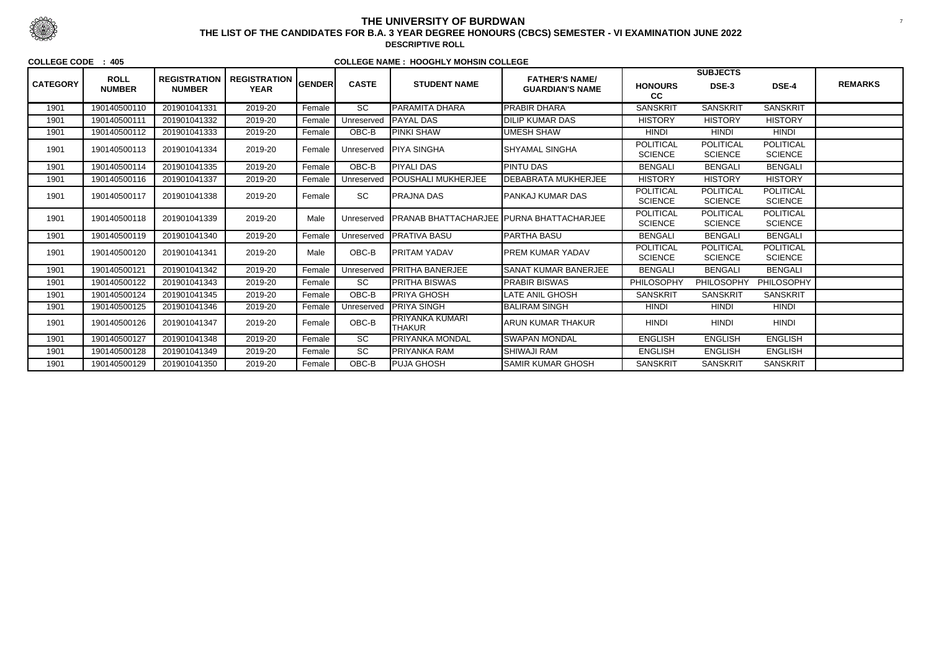|                 |                              |                                      |                                    |               |                 |                                                 |                                                 |                                    | <b>SUBJECTS</b>                    |                                    |                |
|-----------------|------------------------------|--------------------------------------|------------------------------------|---------------|-----------------|-------------------------------------------------|-------------------------------------------------|------------------------------------|------------------------------------|------------------------------------|----------------|
| <b>CATEGORY</b> | <b>ROLL</b><br><b>NUMBER</b> | <b>REGISTRATION</b><br><b>NUMBER</b> | <b>REGISTRATION</b><br><b>YEAR</b> | <b>GENDER</b> | <b>CASTE</b>    | <b>STUDENT NAME</b>                             | <b>FATHER'S NAME/</b><br><b>GUARDIAN'S NAME</b> | <b>HONOURS</b><br>cc               | DSE-3                              | DSE-4                              | <b>REMARKS</b> |
| 1901            | 190140500110                 | 201901041331                         | 2019-20                            | Female        | $\overline{SC}$ | <b>PARAMITA DHARA</b>                           | <b>PRABIR DHARA</b>                             | <b>SANSKRIT</b>                    | <b>SANSKRIT</b>                    | <b>SANSKRIT</b>                    |                |
| 1901            | 190140500111                 | 201901041332                         | 2019-20                            | Female        | Unreserved      | <b>IPAYAL DAS</b>                               | <b>DILIP KUMAR DAS</b>                          | <b>HISTORY</b>                     | <b>HISTORY</b>                     | <b>HISTORY</b>                     |                |
| 1901            | 190140500112                 | 201901041333                         | 2019-20                            | Female        | OBC-B           | <b>PINKI SHAW</b>                               | <b>UMESH SHAW</b>                               | <b>HINDI</b>                       | <b>HINDI</b>                       | <b>HINDI</b>                       |                |
| 1901            | 190140500113                 | 201901041334                         | 2019-20                            | Female        |                 | Unreserved   PIYA SINGHA                        | <b> SHYAMAL SINGHA</b>                          | <b>POLITICAL</b><br><b>SCIENCE</b> | <b>POLITICAL</b><br><b>SCIENCE</b> | <b>POLITICAL</b><br><b>SCIENCE</b> |                |
| 1901            | 190140500114                 | 201901041335                         | 2019-20                            | Female        | $OBC-B$         | <b>PIYALI DAS</b>                               | <b>PINTU DAS</b>                                | <b>BENGALI</b>                     | <b>BENGALI</b>                     | <b>BENGALI</b>                     |                |
| 1901            | 190140500116                 | 201901041337                         | 2019-20                            | Female        | Unreserved      | <b>POUSHALI MUKHERJEE</b>                       | <b>DEBABRATA MUKHERJEE</b>                      | <b>HISTORY</b>                     | <b>HISTORY</b>                     | <b>HISTORY</b>                     |                |
| 1901            | 190140500117                 | 201901041338                         | 2019-20                            | Female        | <b>SC</b>       | <b>PRAJNA DAS</b>                               | <b>PANKAJ KUMAR DAS</b>                         | <b>POLITICAL</b><br><b>SCIENCE</b> | <b>POLITICAL</b><br><b>SCIENCE</b> | <b>POLITICAL</b><br><b>SCIENCE</b> |                |
| 1901            | 190140500118                 | 201901041339                         | 2019-20                            | Male          | Unreserved      | <b>PRANAB BHATTACHARJEE PURNA BHATTACHARJEE</b> |                                                 | <b>POLITICAL</b><br><b>SCIENCE</b> | <b>POLITICAL</b><br><b>SCIENCE</b> | POLITICAL<br><b>SCIENCE</b>        |                |
| 1901            | 190140500119                 | 201901041340                         | 2019-20                            | Female        | Unreserved      | <b>IPRATIVA BASU</b>                            | <b>PARTHA BASU</b>                              | <b>BENGALI</b>                     | <b>BENGALI</b>                     | <b>BENGALI</b>                     |                |
| 1901            | 190140500120                 | 201901041341                         | 2019-20                            | Male          | OBC-B           | <b>PRITAM YADAV</b>                             | <b>PREM KUMAR YADAV</b>                         | <b>POLITICAL</b><br><b>SCIENCE</b> | <b>POLITICAL</b><br><b>SCIENCE</b> | <b>POLITICAL</b><br><b>SCIENCE</b> |                |
| 1901            | 190140500121                 | 201901041342                         | 2019-20                            | Female        | Unreserved      | <b>IPRITHA BANERJEE</b>                         | <b>SANAT KUMAR BANERJEE</b>                     | <b>BENGALI</b>                     | <b>BENGALI</b>                     | <b>BENGALI</b>                     |                |
| 1901            | 190140500122                 | 201901041343                         | 2019-20                            | Female        | <b>SC</b>       | <b>PRITHA BISWAS</b>                            | <b>PRABIR BISWAS</b>                            | PHILOSOPHY                         | <b>PHILOSOPHY</b>                  | PHILOSOPHY                         |                |
| 1901            | 190140500124                 | 201901041345                         | 2019-20                            | Female        | OBC-B           | <b>PRIYA GHOSH</b>                              | LATE ANIL GHOSH                                 | <b>SANSKRIT</b>                    | <b>SANSKRIT</b>                    | <b>SANSKRIT</b>                    |                |
| 1901            | 190140500125                 | 201901041346                         | 2019-20                            | Female        | Unreserved      | <b>PRIYA SINGH</b>                              | BALIRAM SINGH                                   | <b>HINDI</b>                       | <b>HINDI</b>                       | <b>HINDI</b>                       |                |
| 1901            | 190140500126                 | 201901041347                         | 2019-20                            | Female        | OBC-B           | <b>PRIYANKA KUMARI</b><br><b>THAKUR</b>         | ARUN KUMAR THAKUR                               | <b>HINDI</b>                       | <b>HINDI</b>                       | <b>HINDI</b>                       |                |
| 1901            | 190140500127                 | 201901041348                         | 2019-20                            | Female        | SC              | <b>PRIYANKA MONDAL</b>                          | <b>SWAPAN MONDAL</b>                            | <b>ENGLISH</b>                     | <b>ENGLISH</b>                     | <b>ENGLISH</b>                     |                |
| 1901            | 190140500128                 | 201901041349                         | 2019-20                            | Female        | <b>SC</b>       | <b>PRIYANKA RAM</b>                             | <b>SHIWAJI RAM</b>                              | <b>ENGLISH</b>                     | <b>ENGLISH</b>                     | <b>ENGLISH</b>                     |                |
| 1901            | 190140500129                 | 201901041350                         | 2019-20                            | Female        | OBC-B           | <b>PUJA GHOSH</b>                               | <b>SAMIR KUMAR GHOSH</b>                        | <b>SANSKRIT</b>                    | <b>SANSKRIT</b>                    | <b>SANSKRIT</b>                    |                |



## **THE UNIVERSITY OF BURDWAN**<sup>7</sup> **THE LIST OF THE CANDIDATES FOR B.A. 3 YEAR DEGREE HONOURS (CBCS) SEMESTER - VI EXAMINATION JUNE 2022**

**DESCRIPTIVE ROLL**

### **COLLEGE CODE : 405**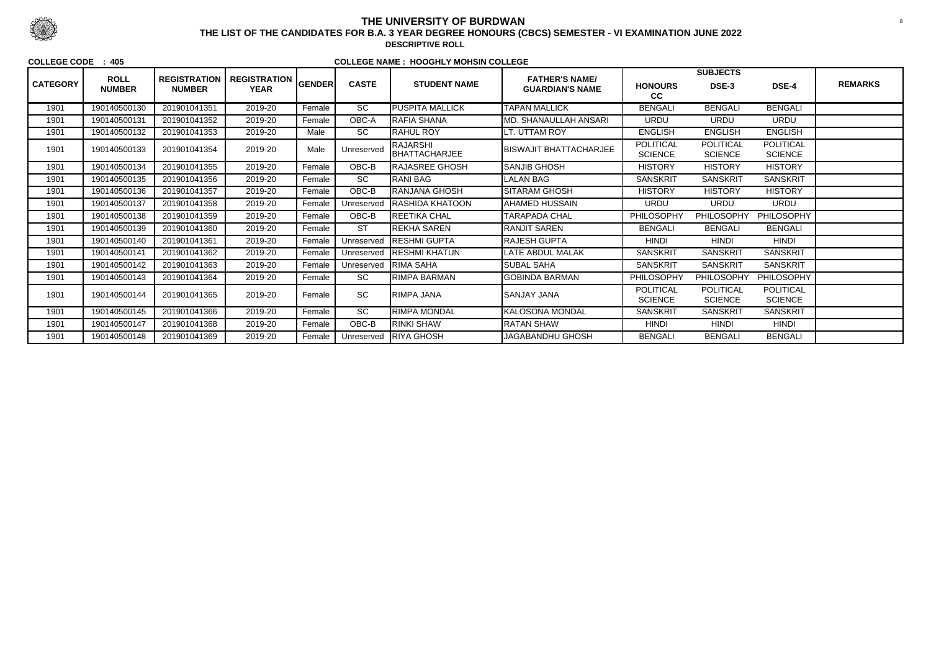|                 |                              |                                      |                                    |        |                 |                                  |                                                 |                                    | <b>SUBJECTS</b>                    |                                    |                |
|-----------------|------------------------------|--------------------------------------|------------------------------------|--------|-----------------|----------------------------------|-------------------------------------------------|------------------------------------|------------------------------------|------------------------------------|----------------|
| <b>CATEGORY</b> | <b>ROLL</b><br><b>NUMBER</b> | <b>REGISTRATION</b><br><b>NUMBER</b> | REGISTRATION GENDER<br><b>YEAR</b> |        | <b>CASTE</b>    | <b>STUDENT NAME</b>              | <b>FATHER'S NAME/</b><br><b>GUARDIAN'S NAME</b> | <b>HONOURS</b><br>cc               | DSE-3                              | DSE-4                              | <b>REMARKS</b> |
| 1901            | 190140500130                 | 201901041351                         | 2019-20                            | Female | $\overline{SC}$ | <b>PUSPITA MALLICK</b>           | <b>TAPAN MALLICK</b>                            | <b>BENGALI</b>                     | <b>BENGALI</b>                     | <b>BENGALI</b>                     |                |
| 1901            | 190140500131                 | 201901041352                         | 2019-20                            | Female | OBC-A           | RAFIA SHANA                      | <b>MD. SHANAULLAH ANSARI</b>                    | <b>URDU</b>                        | <b>URDU</b>                        | <b>URDU</b>                        |                |
| 1901            | 190140500132                 | 201901041353                         | 2019-20                            | Male   | <b>SC</b>       | <b>IRAHUL ROY</b>                | LT. UTTAM ROY                                   | <b>ENGLISH</b>                     | <b>ENGLISH</b>                     | <b>ENGLISH</b>                     |                |
| 1901            | 190140500133                 | 201901041354                         | 2019-20                            | Male   | Unreserved      | RAJARSHI<br><b>BHATTACHARJEE</b> | IBISWAJIT BHATTACHARJEE                         | <b>POLITICAL</b><br><b>SCIENCE</b> | <b>POLITICAL</b><br><b>SCIENCE</b> | <b>POLITICAL</b><br><b>SCIENCE</b> |                |
| 1901            | 190140500134                 | 201901041355                         | 2019-20                            | Female | OBC-B           | <b>IRAJASREE GHOSH</b>           | <b>SANJIB GHOSH</b>                             | <b>HISTORY</b>                     | <b>HISTORY</b>                     | <b>HISTORY</b>                     |                |
| 1901            | 190140500135                 | 201901041356                         | 2019-20                            | Female | <b>SC</b>       | <b>IRANI BAG</b>                 | LALAN BAG                                       | <b>SANSKRIT</b>                    | <b>SANSKRIT</b>                    | <b>SANSKRIT</b>                    |                |
| 1901            | 190140500136                 | 201901041357                         | 2019-20                            | Female | OBC-B           | <b>RANJANA GHOSH</b>             | SITARAM GHOSH                                   | <b>HISTORY</b>                     | <b>HISTORY</b>                     | <b>HISTORY</b>                     |                |
| 1901            | 190140500137                 | 201901041358                         | 2019-20                            | Female | Unreserved      | <b>RASHIDA KHATOON</b>           | AHAMED HUSSAIN                                  | <b>URDU</b>                        | <b>URDU</b>                        | <b>URDU</b>                        |                |
| 1901            | 190140500138                 | 201901041359                         | 2019-20                            | Female | OBC-B           | <b>REETIKA CHAL</b>              | <b>TARAPADA CHAL</b>                            | PHILOSOPHY                         | <b>PHILOSOPHY</b>                  | PHILOSOPHY                         |                |
| 1901            | 190140500139                 | 201901041360                         | 2019-20                            | Female | <b>ST</b>       | REKHA SAREN                      | <b>RANJIT SAREN</b>                             | <b>BENGALI</b>                     | <b>BENGALI</b>                     | <b>BENGALI</b>                     |                |
| 1901            | 190140500140                 | 201901041361                         | 2019-20                            | Female | Unreserved      | <b>RESHMI GUPTA</b>              | <b>RAJESH GUPTA</b>                             | <b>HINDI</b>                       | <b>HINDI</b>                       | <b>HINDI</b>                       |                |
| 1901            | 190140500141                 | 201901041362                         | 2019-20                            | Female | Unreserved      | <b>RESHMI KHATUN</b>             | LATE ABDUL MALAK                                | <b>SANSKRIT</b>                    | <b>SANSKRIT</b>                    | <b>SANSKRIT</b>                    |                |
| 1901            | 190140500142                 | 201901041363                         | 2019-20                            | Female | Unreserved      | RIMA SAHA                        | <b>SUBAL SAHA</b>                               | <b>SANSKRIT</b>                    | <b>SANSKRIT</b>                    | <b>SANSKRIT</b>                    |                |
| 1901            | 190140500143                 | 201901041364                         | 2019-20                            | Female | SC              | RIMPA BARMAN                     | <b>GOBINDA BARMAN</b>                           | PHILOSOPHY                         | <b>PHILOSOPHY</b>                  | PHILOSOPHY                         |                |
| 1901            | 190140500144                 | 201901041365                         | 2019-20                            | Female | <b>SC</b>       | <b>RIMPA JANA</b>                | <b>SANJAY JANA</b>                              | <b>POLITICAL</b><br><b>SCIENCE</b> | <b>POLITICAL</b><br><b>SCIENCE</b> | <b>POLITICAL</b><br><b>SCIENCE</b> |                |
| 1901            | 190140500145                 | 201901041366                         | 2019-20                            | Female | <b>SC</b>       | <b>RIMPA MONDAL</b>              | <b>KALOSONA MONDAL</b>                          | <b>SANSKRIT</b>                    | <b>SANSKRIT</b>                    | <b>SANSKRIT</b>                    |                |
| 1901            | 190140500147                 | 201901041368                         | 2019-20                            | Female | OBC-B           | <b>RINKI SHAW</b>                | <b>RATAN SHAW</b>                               | <b>HINDI</b>                       | <b>HINDI</b>                       | <b>HINDI</b>                       |                |
| 1901            | 190140500148                 | 201901041369                         | 2019-20                            | Female | Unreserved      | <b>RIYA GHOSH</b>                | JAGABANDHU GHOSH                                | <b>BENGALI</b>                     | <b>BENGALI</b>                     | <b>BENGALI</b>                     |                |



## **THE UNIVERSITY OF BURDWAN**<sup>8</sup> **THE LIST OF THE CANDIDATES FOR B.A. 3 YEAR DEGREE HONOURS (CBCS) SEMESTER - VI EXAMINATION JUNE 2022**

**DESCRIPTIVE ROLL**

#### **COLLEGE CODE : 405**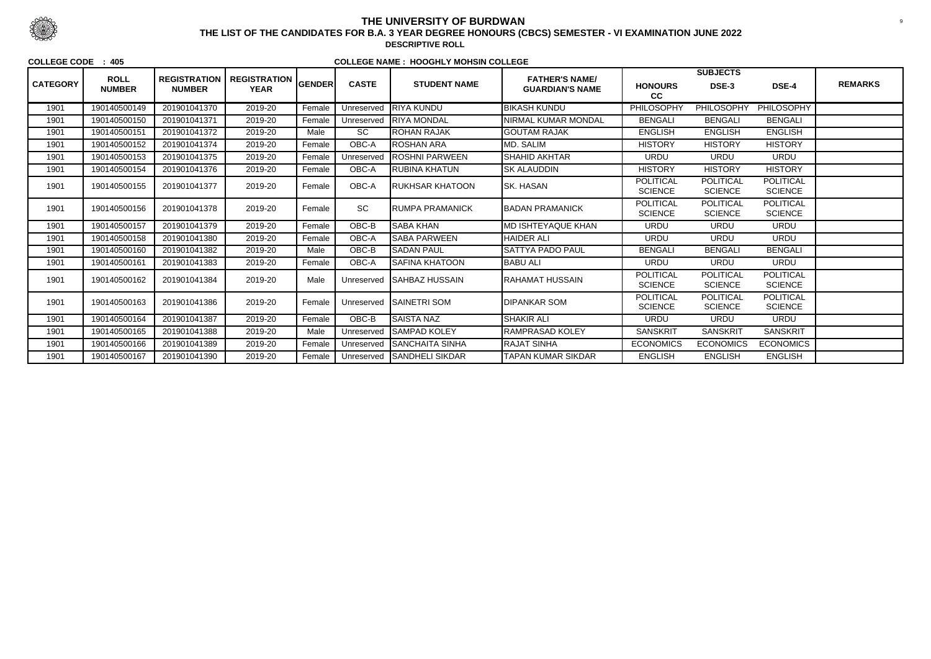|                 | <b>ROLL</b>   | <b>REGISTRATION</b> |                                    |               |              |                         | <b>FATHER'S NAME/</b>     |                                    | <b>SUBJECTS</b>                    |                                    |                |
|-----------------|---------------|---------------------|------------------------------------|---------------|--------------|-------------------------|---------------------------|------------------------------------|------------------------------------|------------------------------------|----------------|
| <b>CATEGORY</b> | <b>NUMBER</b> | <b>NUMBER</b>       | <b>REGISTRATION</b><br><b>YEAR</b> | <b>GENDER</b> | <b>CASTE</b> | <b>STUDENT NAME</b>     | <b>GUARDIAN'S NAME</b>    | <b>HONOURS</b><br>cc               | DSE-3                              | DSE-4                              | <b>REMARKS</b> |
| 1901            | 190140500149  | 201901041370        | 2019-20                            | Female        | Unreserved   | <b>RIYA KUNDU</b>       | <b>BIKASH KUNDU</b>       | PHILOSOPHY                         | <b>PHILOSOPHY</b>                  | <b>PHILOSOPHY</b>                  |                |
| 1901            | 190140500150  | 201901041371        | 2019-20                            | Female        | Unreserved   | <b>RIYA MONDAL</b>      | NIRMAL KUMAR MONDAL       | <b>BENGALI</b>                     | <b>BENGALI</b>                     | <b>BENGALI</b>                     |                |
| 1901            | 190140500151  | 201901041372        | 2019-20                            | Male          | SC           | <b>ROHAN RAJAK</b>      | <b>GOUTAM RAJAK</b>       | <b>ENGLISH</b>                     | <b>ENGLISH</b>                     | <b>ENGLISH</b>                     |                |
| 1901            | 190140500152  | 201901041374        | 2019-20                            | Female        | OBC-A        | ROSHAN ARA              | MD. SALIM                 | <b>HISTORY</b>                     | <b>HISTORY</b>                     | <b>HISTORY</b>                     |                |
| 1901            | 190140500153  | 201901041375        | 2019-20                            | Female        | Unreserved   | <b>ROSHNI PARWEEN</b>   | <b>SHAHID AKHTAR</b>      | <b>URDU</b>                        | <b>URDU</b>                        | <b>URDU</b>                        |                |
| 1901            | 190140500154  | 201901041376        | 2019-20                            | Female        | OBC-A        | <b>RUBINA KHATUN</b>    | <b>SK ALAUDDIN</b>        | <b>HISTORY</b>                     | <b>HISTORY</b>                     | <b>HISTORY</b>                     |                |
| 1901            | 190140500155  | 201901041377        | 2019-20                            | Female        | OBC-A        | <b>RUKHSAR KHATOON</b>  | <b>I</b> SK. HASAN        | <b>POLITICAL</b><br><b>SCIENCE</b> | <b>POLITICAL</b><br><b>SCIENCE</b> | <b>POLITICAL</b><br><b>SCIENCE</b> |                |
| 1901            | 190140500156  | 201901041378        | 2019-20                            | Female        | SC           | <b>RUMPA PRAMANICK</b>  | <b>BADAN PRAMANICK</b>    | <b>POLITICAL</b><br><b>SCIENCE</b> | <b>POLITICAL</b><br><b>SCIENCE</b> | <b>POLITICAL</b><br><b>SCIENCE</b> |                |
| 1901            | 190140500157  | 201901041379        | 2019-20                            | Female        | OBC-B        | <b>SABA KHAN</b>        | <b>MD ISHTEYAQUE KHAN</b> | <b>URDU</b>                        | <b>URDU</b>                        | <b>URDU</b>                        |                |
| 1901            | 190140500158  | 201901041380        | 2019-20                            | Female        | OBC-A        | <b>SABA PARWEEN</b>     | <b>HAIDER ALI</b>         | <b>URDU</b>                        | <b>URDU</b>                        | <b>URDU</b>                        |                |
| 1901            | 190140500160  | 201901041382        | 2019-20                            | Male          | OBC-B        | <b>SADAN PAUL</b>       | SATTYA PADO PAUL          | <b>BENGALI</b>                     | <b>BENGALI</b>                     | <b>BENGALI</b>                     |                |
| 1901            | 190140500161  | 201901041383        | 2019-20                            | Female        | OBC-A        | <b>SAFINA KHATOON</b>   | <b>BABU ALI</b>           | <b>URDU</b>                        | <b>URDU</b>                        | <b>URDU</b>                        |                |
| 1901            | 190140500162  | 201901041384        | 2019-20                            | Male          | Unreserved   | <b>ISAHBAZ HUSSAIN</b>  | RAHAMAT HUSSAIN           | <b>POLITICAL</b><br><b>SCIENCE</b> | <b>POLITICAL</b><br><b>SCIENCE</b> | POLITICAL<br><b>SCIENCE</b>        |                |
| 1901            | 190140500163  | 201901041386        | 2019-20                            | Female        |              | Unreserved SAINETRI SOM | <b>DIPANKAR SOM</b>       | <b>POLITICAL</b><br><b>SCIENCE</b> | <b>POLITICAL</b><br><b>SCIENCE</b> | POLITICAL<br><b>SCIENCE</b>        |                |
| 1901            | 190140500164  | 201901041387        | 2019-20                            | Female        | OBC-B        | <b>SAISTA NAZ</b>       | <b>SHAKIR ALI</b>         | <b>URDU</b>                        | <b>URDU</b>                        | <b>URDU</b>                        |                |
| 1901            | 190140500165  | 201901041388        | 2019-20                            | Male          | Unreserved   | <b>SAMPAD KOLEY</b>     | RAMPRASAD KOLEY           | <b>SANSKRIT</b>                    | <b>SANSKRIT</b>                    | <b>SANSKRIT</b>                    |                |
| 1901            | 190140500166  | 201901041389        | 2019-20                            | Female        | Unreserved   | <b>SANCHAITA SINHA</b>  | <b>RAJAT SINHA</b>        | <b>ECONOMICS</b>                   | <b>ECONOMICS</b>                   | <b>ECONOMICS</b>                   |                |
| 1901            | 190140500167  | 201901041390        | 2019-20                            | Female        | Unreserved   | <b>SANDHELI SIKDAR</b>  | <b>TAPAN KUMAR SIKDAR</b> | <b>ENGLISH</b>                     | <b>ENGLISH</b>                     | <b>ENGLISH</b>                     |                |



## **THE UNIVERSITY OF BURDWAN**<sup>9</sup> **THE LIST OF THE CANDIDATES FOR B.A. 3 YEAR DEGREE HONOURS (CBCS) SEMESTER - VI EXAMINATION JUNE 2022**

**DESCRIPTIVE ROLL**

#### **COLLEGE CODE : 405**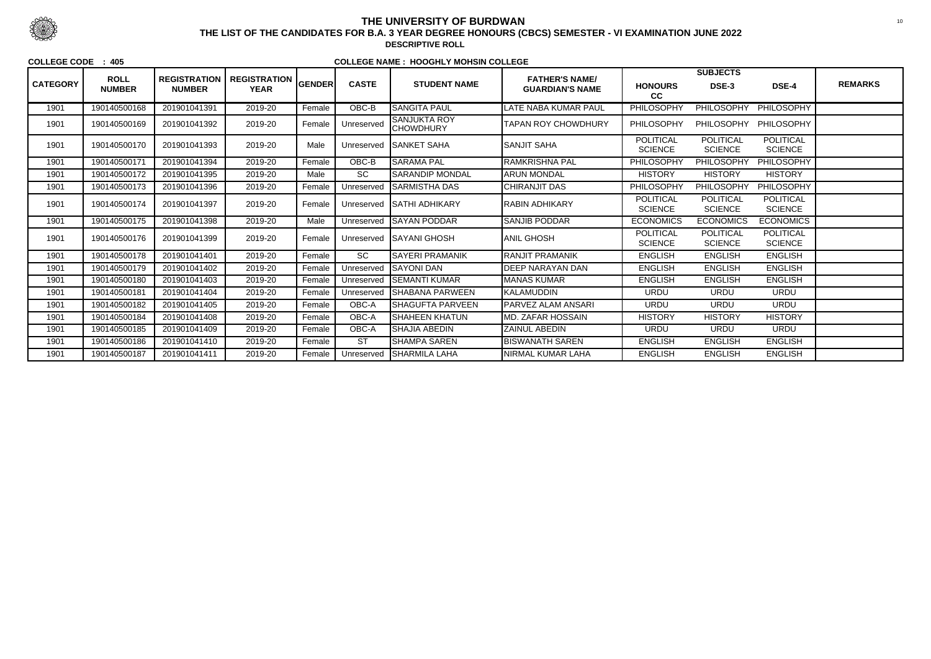|                 |                              |                                      |                                    |               |              |                                         | <b>FATHER'S NAME/</b>      |                                    | <b>SUBJECTS</b>                    |                                    |                |
|-----------------|------------------------------|--------------------------------------|------------------------------------|---------------|--------------|-----------------------------------------|----------------------------|------------------------------------|------------------------------------|------------------------------------|----------------|
| <b>CATEGORY</b> | <b>ROLL</b><br><b>NUMBER</b> | <b>REGISTRATION</b><br><b>NUMBER</b> | <b>REGISTRATION</b><br><b>YEAR</b> | <b>GENDER</b> | <b>CASTE</b> | <b>STUDENT NAME</b>                     | <b>GUARDIAN'S NAME</b>     | <b>HONOURS</b><br>cc               | DSE-3                              | DSE-4                              | <b>REMARKS</b> |
| 1901            | 190140500168                 | 201901041391                         | 2019-20                            | Female        | $OBC-B$      | <b>SANGITA PAUL</b>                     | LATE NABA KUMAR PAUL       | PHILOSOPHY                         | <b>PHILOSOPHY</b>                  | PHILOSOPHY                         |                |
| 1901            | 190140500169                 | 201901041392                         | 2019-20                            | Female        | Unreserved   | <b>SANJUKTA ROY</b><br><b>CHOWDHURY</b> | <b>TAPAN ROY CHOWDHURY</b> | PHILOSOPHY                         | PHILOSOPHY                         | PHILOSOPHY                         |                |
| 1901            | 190140500170                 | 201901041393                         | 2019-20                            | Male          | Unreserved   | <b>SANKET SAHA</b>                      | <b>SANJIT SAHA</b>         | <b>POLITICAL</b><br><b>SCIENCE</b> | <b>POLITICAL</b><br><b>SCIENCE</b> | POLITICAL<br><b>SCIENCE</b>        |                |
| 1901            | 190140500171                 | 201901041394                         | 2019-20                            | Female        | OBC-B        | <b>SARAMA PAL</b>                       | RAMKRISHNA PAL             | <b>PHILOSOPHY</b>                  | <b>PHILOSOPHY</b>                  | PHILOSOPHY                         |                |
| 1901            | 190140500172                 | 201901041395                         | 2019-20                            | Male          | <b>SC</b>    | ISARANDIP MONDAL                        | <b>ARUN MONDAL</b>         | <b>HISTORY</b>                     | <b>HISTORY</b>                     | <b>HISTORY</b>                     |                |
| 1901            | 190140500173                 | 201901041396                         | 2019-20                            | Female        | Unreserved   | <b>SARMISTHA DAS</b>                    | <b>CHIRANJIT DAS</b>       | PHILOSOPHY                         | PHILOSOPHY                         | PHILOSOPHY                         |                |
| 1901            | 190140500174                 | 201901041397                         | 2019-20                            | Female        | Unreserved   | <b>SATHI ADHIKARY</b>                   | RABIN ADHIKARY             | POLITICAL<br><b>SCIENCE</b>        | <b>POLITICAL</b><br><b>SCIENCE</b> | POLITICAL<br><b>SCIENCE</b>        |                |
| 1901            | 190140500175                 | 201901041398                         | 2019-20                            | Male          | Unreserved   | <b>ISAYAN PODDAR</b>                    | <b>SANJIB PODDAR</b>       | <b>ECONOMICS</b>                   | <b>ECONOMICS</b>                   | <b>ECONOMICS</b>                   |                |
| 1901            | 190140500176                 | 201901041399                         | 2019-20                            | Female        | Unreserved   | <b>SAYANI GHOSH</b>                     | <b>ANIL GHOSH</b>          | <b>POLITICAL</b><br><b>SCIENCE</b> | <b>POLITICAL</b><br><b>SCIENCE</b> | <b>POLITICAL</b><br><b>SCIENCE</b> |                |
| 1901            | 190140500178                 | 201901041401                         | 2019-20                            | Female        | <b>SC</b>    | <b>SAYERI PRAMANIK</b>                  | <b>RANJIT PRAMANIK</b>     | <b>ENGLISH</b>                     | <b>ENGLISH</b>                     | <b>ENGLISH</b>                     |                |
| 1901            | 190140500179                 | 201901041402                         | 2019-20                            | Female        | Unreserved   | <b>SAYONI DAN</b>                       | <b>DEEP NARAYAN DAN</b>    | <b>ENGLISH</b>                     | <b>ENGLISH</b>                     | <b>ENGLISH</b>                     |                |
| 1901            | 190140500180                 | 201901041403                         | 2019-20                            | Female        | Unreserved   | ISEMANTI KUMAR                          | <b>MANAS KUMAR</b>         | <b>ENGLISH</b>                     | <b>ENGLISH</b>                     | <b>ENGLISH</b>                     |                |
| 1901            | 190140500181                 | 201901041404                         | 2019-20                            | Female        | Unreserved   | <b>SHABANA PARWEEN</b>                  | KALAMUDDIN                 | <b>URDU</b>                        | <b>URDU</b>                        | <b>URDU</b>                        |                |
| 1901            | 190140500182                 | 201901041405                         | 2019-20                            | Female        | OBC-A        | <b>SHAGUFTA PARVEEN</b>                 | <b>PARVEZ ALAM ANSARI</b>  | <b>URDU</b>                        | <b>URDU</b>                        | <b>URDU</b>                        |                |
| 1901            | 190140500184                 | 201901041408                         | 2019-20                            | Female        | OBC-A        | <b>SHAHEEN KHATUN</b>                   | <b>IMD. ZAFAR HOSSAIN</b>  | <b>HISTORY</b>                     | <b>HISTORY</b>                     | <b>HISTORY</b>                     |                |
| 1901            | 190140500185                 | 201901041409                         | 2019-20                            | Female        | OBC-A        | <b>SHAJIA ABEDIN</b>                    | <b>ZAINUL ABEDIN</b>       | <b>URDU</b>                        | <b>URDU</b>                        | <b>URDU</b>                        |                |
| 1901            | 190140500186                 | 201901041410                         | 2019-20                            | Female        | <b>ST</b>    | <b>SHAMPA SAREN</b>                     | <b>BISWANATH SAREN</b>     | <b>ENGLISH</b>                     | <b>ENGLISH</b>                     | <b>ENGLISH</b>                     |                |
| 1901            | 190140500187                 | 201901041411                         | 2019-20                            | Female        | Unreserved   | <b>SHARMILA LAHA</b>                    | NIRMAL KUMAR LAHA          | <b>ENGLISH</b>                     | <b>ENGLISH</b>                     | <b>ENGLISH</b>                     |                |



## **THE UNIVERSITY OF BURDWAN**<sup>10</sup> **THE LIST OF THE CANDIDATES FOR B.A. 3 YEAR DEGREE HONOURS (CBCS) SEMESTER - VI EXAMINATION JUNE 2022**

**DESCRIPTIVE ROLL**

**COLLEGE CODE : 405**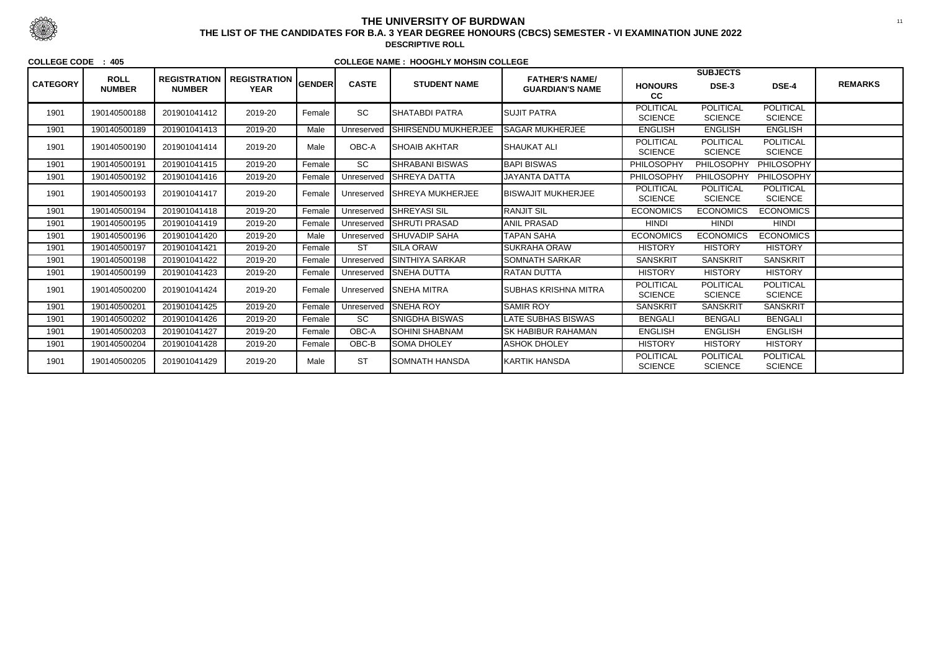|                 |                              |                                      |                                    |               |              |                          |                                                 |                                    | <b>SUBJECTS</b>                    |                                    |                |
|-----------------|------------------------------|--------------------------------------|------------------------------------|---------------|--------------|--------------------------|-------------------------------------------------|------------------------------------|------------------------------------|------------------------------------|----------------|
| <b>CATEGORY</b> | <b>ROLL</b><br><b>NUMBER</b> | <b>REGISTRATION</b><br><b>NUMBER</b> | <b>REGISTRATION</b><br><b>YEAR</b> | <b>GENDER</b> | <b>CASTE</b> | <b>STUDENT NAME</b>      | <b>FATHER'S NAME/</b><br><b>GUARDIAN'S NAME</b> | <b>HONOURS</b><br>cc               | <b>DSE-3</b>                       | DSE-4                              | <b>REMARKS</b> |
| 1901            | 190140500188                 | 201901041412                         | 2019-20                            | Female        | <b>SC</b>    | <b>SHATABDI PATRA</b>    | <b>SUJIT PATRA</b>                              | <b>POLITICAL</b><br><b>SCIENCE</b> | <b>POLITICAL</b><br><b>SCIENCE</b> | <b>POLITICAL</b><br><b>SCIENCE</b> |                |
| 1901            | 190140500189                 | 201901041413                         | 2019-20                            | Male          | Unreserved   | SHIRSENDU MUKHERJEE      | <b>SAGAR MUKHERJEE</b>                          | <b>ENGLISH</b>                     | <b>ENGLISH</b>                     | <b>ENGLISH</b>                     |                |
| 1901            | 190140500190                 | 201901041414                         | 2019-20                            | Male          | OBC-A        | <b>SHOAIB AKHTAR</b>     | <b>SHAUKAT ALI</b>                              | <b>POLITICAL</b><br><b>SCIENCE</b> | <b>POLITICAL</b><br><b>SCIENCE</b> | <b>POLITICAL</b><br><b>SCIENCE</b> |                |
| 1901            | 190140500191                 | 201901041415                         | 2019-20                            | Female        | <b>SC</b>    | <b>SHRABANI BISWAS</b>   | <b>BAPI BISWAS</b>                              | PHILOSOPHY                         | PHILOSOPHY                         | PHILOSOPHY                         |                |
| 1901            | 190140500192                 | 201901041416                         | 2019-20                            | Female        | Unreserved   | <b>SHREYA DATTA</b>      | <b>JAYANTA DATTA</b>                            | PHILOSOPHY                         | PHILOSOPHY                         | PHILOSOPHY                         |                |
| 1901            | 190140500193                 | 201901041417                         | 2019-20                            | Female        | Unreserved   | <b>ISHREYA MUKHERJEE</b> | <b>BISWAJIT MUKHERJEE</b>                       | <b>POLITICAL</b><br><b>SCIENCE</b> | <b>POLITICAL</b><br><b>SCIENCE</b> | <b>POLITICAL</b><br><b>SCIENCE</b> |                |
| 1901            | 190140500194                 | 201901041418                         | 2019-20                            | Female        | Unreserved   | <b>SHREYASI SIL</b>      | <b>RANJIT SIL</b>                               | <b>ECONOMICS</b>                   | <b>ECONOMICS</b>                   | <b>ECONOMICS</b>                   |                |
| 1901            | 190140500195                 | 201901041419                         | 2019-20                            | Female        | Unreserved   | <b>SHRUTI PRASAD</b>     | <b>ANIL PRASAD</b>                              | <b>HINDI</b>                       | <b>HINDI</b>                       | <b>HINDI</b>                       |                |
| 1901            | 190140500196                 | 201901041420                         | 2019-20                            | Male          | Unreserved   | <b>SHUVADIP SAHA</b>     | <b>TAPAN SAHA</b>                               | <b>ECONOMICS</b>                   | <b>ECONOMICS</b>                   | <b>ECONOMICS</b>                   |                |
| 1901            | 190140500197                 | 201901041421                         | 2019-20                            | Female        | <b>ST</b>    | <b>SILA ORAW</b>         | SUKRAHA ORAW                                    | <b>HISTORY</b>                     | <b>HISTORY</b>                     | <b>HISTORY</b>                     |                |
| 1901            | 190140500198                 | 201901041422                         | 2019-20                            | Female        | Unreserved   | <b>SINTHIYA SARKAR</b>   | <b>SOMNATH SARKAR</b>                           | <b>SANSKRIT</b>                    | <b>SANSKRIT</b>                    | <b>SANSKRIT</b>                    |                |
| 1901            | 190140500199                 | 201901041423                         | 2019-20                            | Female        | Unreserved   | <b>SNEHA DUTTA</b>       | <b>RATAN DUTTA</b>                              | <b>HISTORY</b>                     | <b>HISTORY</b>                     | <b>HISTORY</b>                     |                |
| 1901            | 190140500200                 | 201901041424                         | 2019-20                            | Female        | Unreserved   | <b>ISNEHA MITRA</b>      | ISUBHAS KRISHNA MITRA                           | <b>POLITICAL</b><br><b>SCIENCE</b> | <b>POLITICAL</b><br><b>SCIENCE</b> | <b>POLITICAL</b><br><b>SCIENCE</b> |                |
| 1901            | 190140500201                 | 201901041425                         | 2019-20                            | Female        | Unreserved   | <b>SNEHA ROY</b>         | <b>SAMIR ROY</b>                                | <b>SANSKRIT</b>                    | <b>SANSKRIT</b>                    | <b>SANSKRIT</b>                    |                |
| 1901            | 190140500202                 | 201901041426                         | 2019-20                            | Female        | SC           | <b>SNIGDHA BISWAS</b>    | LATE SUBHAS BISWAS                              | <b>BENGALI</b>                     | <b>BENGALI</b>                     | <b>BENGALI</b>                     |                |
| 1901            | 190140500203                 | 201901041427                         | 2019-20                            | Female        | OBC-A        | <b>SOHINI SHABNAM</b>    | SK HABIBUR RAHAMAN                              | <b>ENGLISH</b>                     | <b>ENGLISH</b>                     | <b>ENGLISH</b>                     |                |
| 1901            | 190140500204                 | 201901041428                         | 2019-20                            | Female        | OBC-B        | <b>SOMA DHOLEY</b>       | <b>ASHOK DHOLEY</b>                             | <b>HISTORY</b>                     | <b>HISTORY</b>                     | <b>HISTORY</b>                     |                |
| 1901            | 190140500205                 | 201901041429                         | 2019-20                            | Male          | <b>ST</b>    | <b>SOMNATH HANSDA</b>    | KARTIK HANSDA                                   | <b>POLITICAL</b><br><b>SCIENCE</b> | <b>POLITICAL</b><br><b>SCIENCE</b> | <b>POLITICAL</b><br><b>SCIENCE</b> |                |



## **THE UNIVERSITY OF BURDWAN**<sup>11</sup> **THE LIST OF THE CANDIDATES FOR B.A. 3 YEAR DEGREE HONOURS (CBCS) SEMESTER - VI EXAMINATION JUNE 2022**

**DESCRIPTIVE ROLL**

**COLLEGE CODE : 405**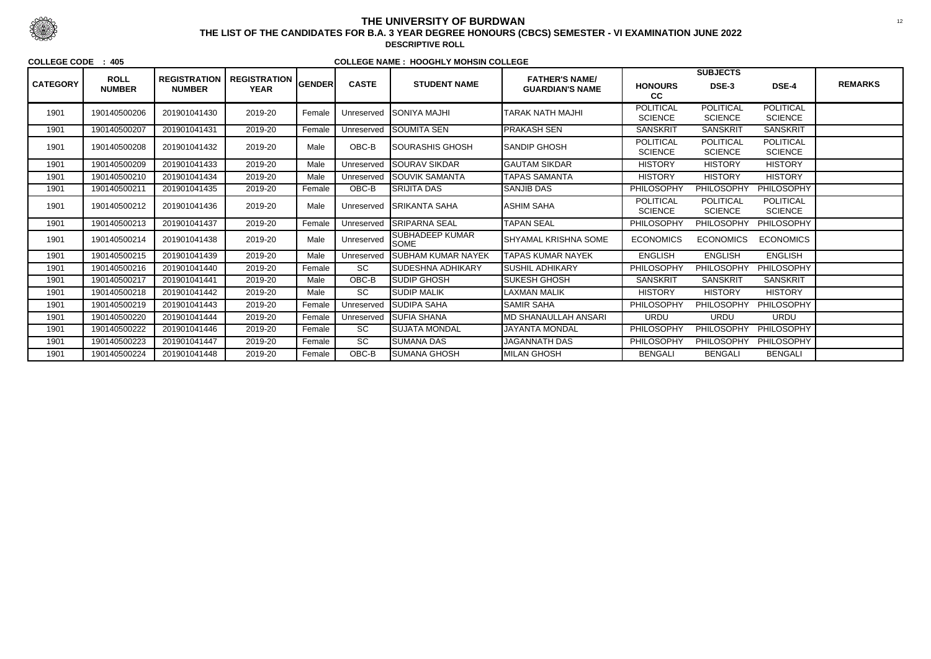|                 |                              |                                      |                                                 |        |              |                                       |                                                 |                                    | <b>SUBJECTS</b>                    |                                    |                |
|-----------------|------------------------------|--------------------------------------|-------------------------------------------------|--------|--------------|---------------------------------------|-------------------------------------------------|------------------------------------|------------------------------------|------------------------------------|----------------|
| <b>CATEGORY</b> | <b>ROLL</b><br><b>NUMBER</b> | <b>REGISTRATION</b><br><b>NUMBER</b> | , REGISTRATION $ _{\sf GENDER} $<br><b>YEAR</b> |        | <b>CASTE</b> | <b>STUDENT NAME</b>                   | <b>FATHER'S NAME/</b><br><b>GUARDIAN'S NAME</b> | <b>HONOURS</b><br>cc               | DSE-3                              | DSE-4                              | <b>REMARKS</b> |
| 1901            | 190140500206                 | 201901041430                         | 2019-20                                         | Female |              | Unreserved SONIYA MAJHI               | TARAK NATH MAJHI                                | <b>POLITICAL</b><br><b>SCIENCE</b> | <b>POLITICAL</b><br><b>SCIENCE</b> | <b>POLITICAL</b><br><b>SCIENCE</b> |                |
| 1901            | 190140500207                 | 201901041431                         | 2019-20                                         | Female | Unreserved   | <b>SOUMITA SEN</b>                    | <b>PRAKASH SEN</b>                              | <b>SANSKRIT</b>                    | <b>SANSKRIT</b>                    | <b>SANSKRIT</b>                    |                |
| 1901            | 190140500208                 | 201901041432                         | 2019-20                                         | Male   | $OBC-B$      | <b>SOURASHIS GHOSH</b>                | <b>I</b> SANDIP GHOSH                           | <b>POLITICAL</b><br><b>SCIENCE</b> | <b>POLITICAL</b><br><b>SCIENCE</b> | POLITICAL<br><b>SCIENCE</b>        |                |
| 1901            | 190140500209                 | 201901041433                         | 2019-20                                         | Male   | Unreserved   | <b>SOURAV SIKDAR</b>                  | <b>GAUTAM SIKDAR</b>                            | <b>HISTORY</b>                     | <b>HISTORY</b>                     | <b>HISTORY</b>                     |                |
| 1901            | 190140500210                 | 201901041434                         | 2019-20                                         | Male   | Unreserved   | <b>ISOUVIK SAMANTA</b>                | <b>TAPAS SAMANTA</b>                            | <b>HISTORY</b>                     | <b>HISTORY</b>                     | <b>HISTORY</b>                     |                |
| 1901            | 190140500211                 | 201901041435                         | 2019-20                                         | Female | OBC-B        | <b>SRIJITA DAS</b>                    | <b>SANJIB DAS</b>                               | PHILOSOPHY                         | <b>PHILOSOPHY</b>                  | PHILOSOPHY                         |                |
| 1901            | 190140500212                 | 201901041436                         | 2019-20                                         | Male   | Unreserved   | <b>ISRIKANTA SAHA</b>                 | <b>ASHIM SAHA</b>                               | <b>POLITICAL</b><br><b>SCIENCE</b> | <b>POLITICAL</b><br><b>SCIENCE</b> | <b>POLITICAL</b><br><b>SCIENCE</b> |                |
| 1901            | 190140500213                 | 201901041437                         | 2019-20                                         | Female | Unreserved   | <b>SRIPARNA SEAL</b>                  | <b>TAPAN SEAL</b>                               | PHILOSOPHY                         | PHILOSOPHY                         | PHILOSOPHY                         |                |
| 1901            | 190140500214                 | 201901041438                         | 2019-20                                         | Male   | Unreserved   | <b>SUBHADEEP KUMAR</b><br><b>SOME</b> | <b>SHYAMAL KRISHNA SOME</b>                     | <b>ECONOMICS</b>                   | <b>ECONOMICS</b>                   | <b>ECONOMICS</b>                   |                |
| 1901            | 190140500215                 | 201901041439                         | 2019-20                                         | Male   | Unreserved   | <b>ISUBHAM KUMAR NAYEK</b>            | <b>TAPAS KUMAR NAYEK</b>                        | <b>ENGLISH</b>                     | <b>ENGLISH</b>                     | <b>ENGLISH</b>                     |                |
| 1901            | 190140500216                 | 201901041440                         | 2019-20                                         | Female | SC           | <b>SUDESHNA ADHIKARY</b>              | SUSHIL ADHIKARY                                 | PHILOSOPHY                         | <b>PHILOSOPHY</b>                  | PHILOSOPHY                         |                |
| 1901            | 190140500217                 | 201901041441                         | 2019-20                                         | Male   | OBC-B        | ISUDIP GHOSH                          | SUKESH GHOSH                                    | <b>SANSKRIT</b>                    | <b>SANSKRIT</b>                    | <b>SANSKRIT</b>                    |                |
| 1901            | 190140500218                 | 201901041442                         | 2019-20                                         | Male   | <b>SC</b>    | <b>SUDIP MALIK</b>                    | <b>LAXMAN MALIK</b>                             | <b>HISTORY</b>                     | <b>HISTORY</b>                     | <b>HISTORY</b>                     |                |
| 1901            | 190140500219                 | 201901041443                         | 2019-20                                         | Female | Unreserved   | <b>SUDIPA SAHA</b>                    | <b>SAMIR SAHA</b>                               | PHILOSOPHY                         | <b>PHILOSOPHY</b>                  | PHILOSOPHY                         |                |
| 1901            | 190140500220                 | 201901041444                         | 2019-20                                         | Female | Unreserved   | <b>SUFIA SHANA</b>                    | <b>MD SHANAULLAH ANSARI</b>                     | <b>URDU</b>                        | <b>URDU</b>                        | <b>URDU</b>                        |                |
| 1901            | 190140500222                 | 201901041446                         | 2019-20                                         | Female | SC           | SUJATA MONDAL                         | <b>JAYANTA MONDAL</b>                           | PHILOSOPHY                         | <b>PHILOSOPHY</b>                  | PHILOSOPHY                         |                |
| 1901            | 190140500223                 | 201901041447                         | 2019-20                                         | Female | SC           | <b>SUMANA DAS</b>                     | <b>JAGANNATH DAS</b>                            | PHILOSOPHY                         | <b>PHILOSOPHY</b>                  | PHILOSOPHY                         |                |
| 1901            | 190140500224                 | 201901041448                         | 2019-20                                         | Female | OBC-B        | ISUMANA GHOSH                         | <b>MILAN GHOSH</b>                              | <b>BENGALI</b>                     | <b>BENGALI</b>                     | <b>BENGALI</b>                     |                |



## **THE UNIVERSITY OF BURDWAN**

 <sup>12</sup> **THE LIST OF THE CANDIDATES FOR B.A. 3 YEAR DEGREE HONOURS (CBCS) SEMESTER - VI EXAMINATION JUNE 2022DESCRIPTIVE ROLL**

**COLLEGE CODE : 405**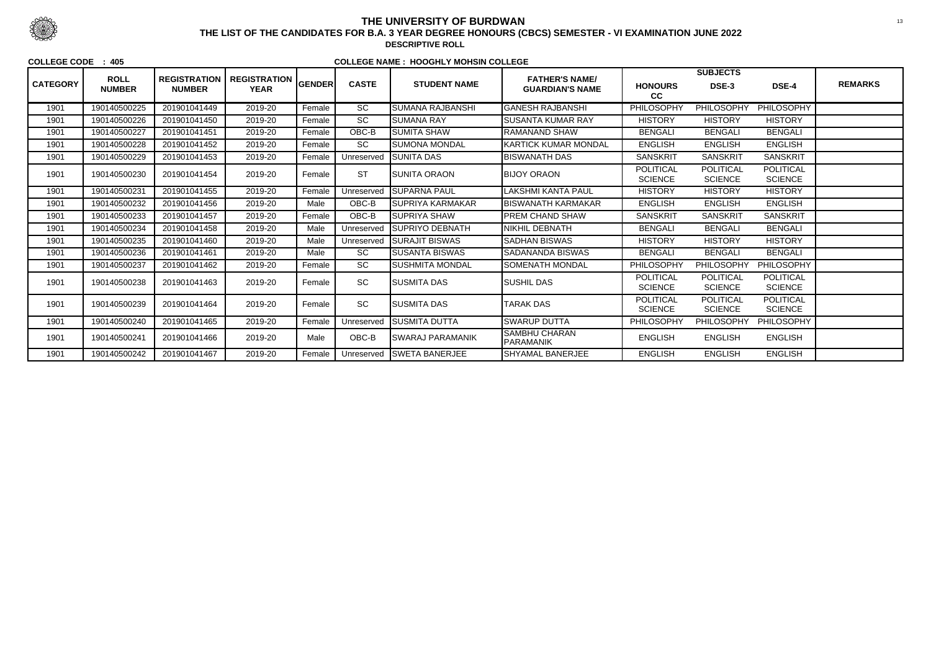| <b>CATEGORY</b> | <b>ROLL</b><br><b>NUMBER</b> | <b>REGISTRATION</b><br><b>NUMBER</b> | REGISTRATION GENDER<br><b>YEAR</b> |        | <b>CASTE</b>    | <b>STUDENT NAME</b>      | <b>FATHER'S NAME/</b><br><b>GUARDIAN'S NAME</b> | <b>SUBJECTS</b>                    |                                    |                                    |                |
|-----------------|------------------------------|--------------------------------------|------------------------------------|--------|-----------------|--------------------------|-------------------------------------------------|------------------------------------|------------------------------------|------------------------------------|----------------|
|                 |                              |                                      |                                    |        |                 |                          |                                                 | <b>HONOURS</b><br>cc               | DSE-3                              | DSE-4                              | <b>REMARKS</b> |
| 1901            | 190140500225                 | 201901041449                         | 2019-20                            | Female | $\overline{SC}$ | <b>SUMANA RAJBANSHI</b>  | <b>GANESH RAJBANSHI</b>                         | PHILOSOPHY                         | <b>PHILOSOPHY</b>                  | PHILOSOPHY                         |                |
| 1901            | 190140500226                 | 201901041450                         | 2019-20                            | Female | $\overline{SC}$ | <b>SUMANA RAY</b>        | <b>SUSANTA KUMAR RAY</b>                        | <b>HISTORY</b>                     | <b>HISTORY</b>                     | <b>HISTORY</b>                     |                |
| 1901            | 190140500227                 | 201901041451                         | 2019-20                            | Female | $OBC-B$         | SUMITA SHAW              | RAMANAND SHAW                                   | <b>BENGALI</b>                     | <b>BENGALI</b>                     | <b>BENGALI</b>                     |                |
| 1901            | 190140500228                 | 201901041452                         | 2019-20                            | Female | <b>SC</b>       | SUMONA MONDAL            | <b>KARTICK KUMAR MONDAL</b>                     | <b>ENGLISH</b>                     | <b>ENGLISH</b>                     | <b>ENGLISH</b>                     |                |
| 1901            | 190140500229                 | 201901041453                         | 2019-20                            | Female | Unreserved      | <b>SUNITA DAS</b>        | <b>BISWANATH DAS</b>                            | <b>SANSKRIT</b>                    | <b>SANSKRIT</b>                    | <b>SANSKRIT</b>                    |                |
| 1901            | 190140500230                 | 201901041454                         | 2019-20                            | Female | <b>ST</b>       | <b>SUNITA ORAON</b>      | <b>BIJOY ORAON</b>                              | <b>POLITICAL</b><br><b>SCIENCE</b> | <b>POLITICAL</b><br><b>SCIENCE</b> | POLITICAL<br><b>SCIENCE</b>        |                |
| 1901            | 190140500231                 | 201901041455                         | 2019-20                            | Female | Unreserved      | ISUPARNA PAUL            | LAKSHMI KANTA PAUL                              | <b>HISTORY</b>                     | <b>HISTORY</b>                     | <b>HISTORY</b>                     |                |
| 1901            | 190140500232                 | 201901041456                         | 2019-20                            | Male   | $OBC-B$         | <b>SUPRIYA KARMAKAR</b>  | <b>BISWANATH KARMAKAR</b>                       | <b>ENGLISH</b>                     | <b>ENGLISH</b>                     | <b>ENGLISH</b>                     |                |
| 1901            | 190140500233                 | 201901041457                         | 2019-20                            | Female | OBC-B           | <b>I</b> SUPRIYA SHAW    | <b>PREM CHAND SHAW</b>                          | <b>SANSKRIT</b>                    | <b>SANSKRIT</b>                    | <b>SANSKRIT</b>                    |                |
| 1901            | 190140500234                 | 201901041458                         | 2019-20                            | Male   | Unreserved      | <b>SUPRIYO DEBNATH</b>   | NIKHIL DEBNATH                                  | <b>BENGALI</b>                     | <b>BENGALI</b>                     | <b>BENGALI</b>                     |                |
| 1901            | 190140500235                 | 201901041460                         | 2019-20                            | Male   | Unreserved      | <b>ISURAJIT BISWAS</b>   | <b>SADHAN BISWAS</b>                            | <b>HISTORY</b>                     | <b>HISTORY</b>                     | <b>HISTORY</b>                     |                |
| 1901            | 190140500236                 | 201901041461                         | 2019-20                            | Male   | SC              | <b>SUSANTA BISWAS</b>    | <b>SADANANDA BISWAS</b>                         | <b>BENGALI</b>                     | <b>BENGALI</b>                     | <b>BENGALI</b>                     |                |
| 1901            | 190140500237                 | 201901041462                         | 2019-20                            | Female | SC              | SUSHMITA MONDAL          | ISOMENATH MONDAL                                | PHILOSOPHY                         | <b>PHILOSOPHY</b>                  | PHILOSOPHY                         |                |
| 1901            | 190140500238                 | 201901041463                         | 2019-20                            | Female | <b>SC</b>       | <b>SUSMITA DAS</b>       | <b>SUSHIL DAS</b>                               | <b>POLITICAL</b><br><b>SCIENCE</b> | <b>POLITICAL</b><br><b>SCIENCE</b> | <b>POLITICAL</b><br><b>SCIENCE</b> |                |
| 1901            | 190140500239                 | 201901041464                         | 2019-20                            | Female | <b>SC</b>       | <b>ISUSMITA DAS</b>      | <b>TARAK DAS</b>                                | <b>POLITICAL</b><br><b>SCIENCE</b> | <b>POLITICAL</b><br><b>SCIENCE</b> | <b>POLITICAL</b><br><b>SCIENCE</b> |                |
| 1901            | 190140500240                 | 201901041465                         | 2019-20                            | Female | Unreserved      | <b>ISUSMITA DUTTA</b>    | <b>SWARUP DUTTA</b>                             | PHILOSOPHY                         | <b>PHILOSOPHY</b>                  | PHILOSOPHY                         |                |
| 1901            | 190140500241                 | 201901041466                         | 2019-20                            | Male   | $OBC-B$         | <b>ISWARAJ PARAMANIK</b> | SAMBHU CHARAN<br><b>PARAMANIK</b>               | <b>ENGLISH</b>                     | <b>ENGLISH</b>                     | <b>ENGLISH</b>                     |                |
| 1901            | 190140500242                 | 201901041467                         | 2019-20                            | Female | Unreserved      | <b>SWETA BANERJEE</b>    | <b>SHYAMAL BANERJEE</b>                         | <b>ENGLISH</b>                     | <b>ENGLISH</b>                     | <b>ENGLISH</b>                     |                |



## **THE UNIVERSITY OF BURDWAN**<sup>13</sup> **THE LIST OF THE CANDIDATES FOR B.A. 3 YEAR DEGREE HONOURS (CBCS) SEMESTER - VI EXAMINATION JUNE 2022**

**DESCRIPTIVE ROLL**

#### **COLLEGE CODE : 405**